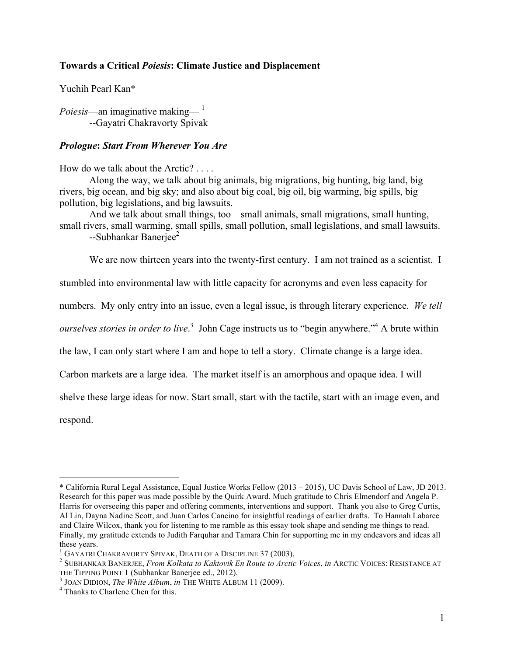# **Towards a Critical** *Poiesis***: Climate Justice and Displacement**

Yuchih Pearl Kan\*

*Poiesis*—an imaginative making— $^{-1}$ --Gayatri Chakravorty Spivak

# *Prologue***:** *Start From Wherever You Are*

How do we talk about the Arctic? . . . .

Along the way, we talk about big animals, big migrations, big hunting, big land, big rivers, big ocean, and big sky; and also about big coal, big oil, big warming, big spills, big pollution, big legislations, and big lawsuits.

And we talk about small things, too—small animals, small migrations, small hunting, small rivers, small warming, small spills, small pollution, small legislations, and small lawsuits.

--Subhankar Banerjee<sup>2</sup>

We are now thirteen years into the twenty-first century. I am not trained as a scientist. I

stumbled into environmental law with little capacity for acronyms and even less capacity for

numbers. My only entry into an issue, even a legal issue, is through literary experience. *We tell* 

*ourselves stories in order to live*.<sup>3</sup> John Cage instructs us to "begin anywhere."<sup>4</sup> A brute within

the law, I can only start where I am and hope to tell a story. Climate change is a large idea.

Carbon markets are a large idea. The market itself is an amorphous and opaque idea. I will

shelve these large ideas for now. Start small, start with the tactile, start with an image even, and

respond.

<sup>!!!!!!!!!!!!!!!!!!!!!!!!!!!!!!!!!!!!!!!!!!!!!!!!!!!!!!!</sup> \* California Rural Legal Assistance, Equal Justice Works Fellow (2013 – 2015), UC Davis School of Law, JD 2013. Research for this paper was made possible by the Quirk Award. Much gratitude to Chris Elmendorf and Angela P. Harris for overseeing this paper and offering comments, interventions and support. Thank you also to Greg Curtis, Al Lin, Dayna Nadine Scott, and Juan Carlos Cancino for insightful readings of earlier drafts. To Hannah Labaree and Claire Wilcox, thank you for listening to me ramble as this essay took shape and sending me things to read. Finally, my gratitude extends to Judith Farquhar and Tamara Chin for supporting me in my endeavors and ideas all these years.<br><sup>1</sup> GAYATRI CHAKRAVORTY SPIVAK, DEATH OF A DISCIPLINE 37 (2003).

<sup>&</sup>lt;sup>2</sup> SUBHANKAR BANERJEE, *From Kolkata to Kaktovik En Route to Arctic Voices*, *in* ARCTIC VOICES: RESISTANCE AT THE TIPPING POINT 1 (Subhankar Banerjee ed., 2012).

 $T<sup>3</sup>$  JOAN DIDION, *The White Album*, *in* THE WHITE ALBUM 11 (2009).  $T<sup>4</sup>$  Thanks to Charlene Chen for this.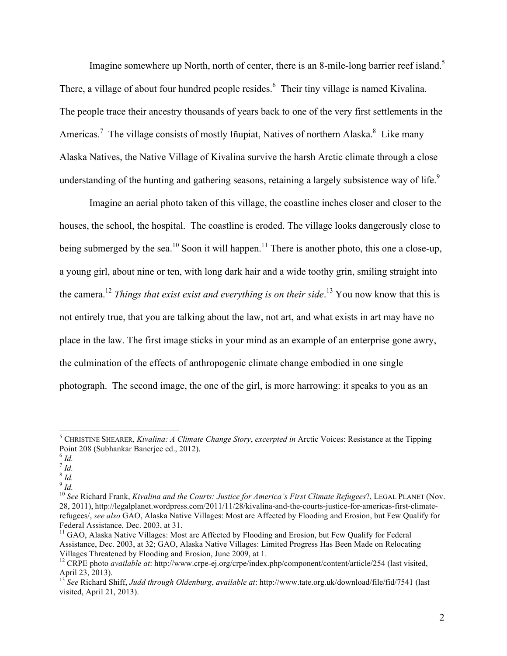Imagine somewhere up North, north of center, there is an 8-mile-long barrier reef island.<sup>5</sup> There, a village of about four hundred people resides.<sup>6</sup> Their tiny village is named Kivalina. The people trace their ancestry thousands of years back to one of the very first settlements in the Americas.<sup>7</sup> The village consists of mostly Iñupiat, Natives of northern Alaska.<sup>8</sup> Like many Alaska Natives, the Native Village of Kivalina survive the harsh Arctic climate through a close understanding of the hunting and gathering seasons, retaining a largely subsistence way of life.<sup>9</sup>

Imagine an aerial photo taken of this village, the coastline inches closer and closer to the houses, the school, the hospital. The coastline is eroded. The village looks dangerously close to being submerged by the sea.<sup>10</sup> Soon it will happen.<sup>11</sup> There is another photo, this one a close-up, a young girl, about nine or ten, with long dark hair and a wide toothy grin, smiling straight into the camera.12 *Things that exist exist and everything is on their side*. <sup>13</sup> You now know that this is not entirely true, that you are talking about the law, not art, and what exists in art may have no place in the law. The first image sticks in your mind as an example of an enterprise gone awry, the culmination of the effects of anthropogenic climate change embodied in one single photograph. The second image, the one of the girl, is more harrowing: it speaks to you as an

 $\frac{8}{1}$   $\frac{1}{4}$ 

<sup>&</sup>lt;sup>5</sup> CHRISTINE SHEARER, *Kivalina: A Climate Change Story, excerpted in* Arctic Voices: Resistance at the Tipping Point 208 (Subhankar Banerjee ed., 2012).

<sup>6</sup> *Id.*

 $\frac{7}{1}$  *Id.* 

<sup>9</sup> *Id.*

<sup>10</sup> *See* Richard Frank, *Kivalina and the Courts: Justice for America's First Climate Refugees*?, LEGAL PLANET (Nov. 28, 2011), http://legalplanet.wordpress.com/2011/11/28/kivalina-and-the-courts-justice-for-americas-first-climaterefugees/, *see also* GAO, Alaska Native Villages: Most are Affected by Flooding and Erosion, but Few Qualify for Federal Assistance, Dec. 2003, at 31.

 $<sup>11</sup>$  GAO, Alaska Native Villages: Most are Affected by Flooding and Erosion, but Few Qualify for Federal</sup> Assistance, Dec. 2003, at 32; GAO, Alaska Native Villages: Limited Progress Has Been Made on Relocating Villages Threatened by Flooding and Erosion, June 2009, at 1.<br><sup>12</sup> CRPE photo *available at*: http://www.crpe-ej.org/crpe/index.php/component/content/article/254 (last visited,

April 23, 2013).

<sup>13</sup> *See* Richard Shiff, *Judd through Oldenburg*, *available at*: http://www.tate.org.uk/download/file/fid/7541 (last visited, April 21, 2013).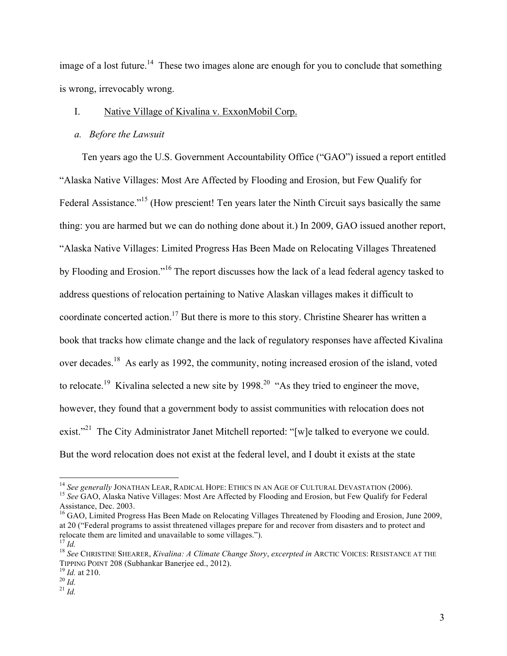image of a lost future.<sup>14</sup> These two images alone are enough for you to conclude that something is wrong, irrevocably wrong.

# I. Native Village of Kivalina v. ExxonMobil Corp.

### *a. Before the Lawsuit*

Ten years ago the U.S. Government Accountability Office ("GAO") issued a report entitled "Alaska Native Villages: Most Are Affected by Flooding and Erosion, but Few Qualify for Federal Assistance."<sup>15</sup> (How prescient! Ten years later the Ninth Circuit says basically the same thing: you are harmed but we can do nothing done about it.) In 2009, GAO issued another report, "Alaska Native Villages: Limited Progress Has Been Made on Relocating Villages Threatened by Flooding and Erosion."<sup>16</sup> The report discusses how the lack of a lead federal agency tasked to address questions of relocation pertaining to Native Alaskan villages makes it difficult to coordinate concerted action.<sup>17</sup> But there is more to this story. Christine Shearer has written a book that tracks how climate change and the lack of regulatory responses have affected Kivalina over decades.18 As early as 1992, the community, noting increased erosion of the island, voted to relocate.<sup>19</sup> Kivalina selected a new site by  $1998.<sup>20</sup>$  "As they tried to engineer the move, however, they found that a government body to assist communities with relocation does not exist."<sup>21</sup> The City Administrator Janet Mitchell reported: "[w]e talked to everyone we could. But the word relocation does not exist at the federal level, and I doubt it exists at the state

<sup>&</sup>lt;sup>14</sup> See generally JONATHAN LEAR, RADICAL HOPE: ETHICS IN AN AGE OF CULTURAL DEVASTATION (2006).<br><sup>15</sup> See GAO, Alaska Native Villages: Most Are Affected by Flooding and Erosion, but Few Qualify for Federal

Assistance, Dec. 2003.

<sup>&</sup>lt;sup>16</sup> GAO, Limited Progress Has Been Made on Relocating Villages Threatened by Flooding and Erosion, June 2009, at 20 ("Federal programs to assist threatened villages prepare for and recover from disasters and to protect and relocate them are limited and unavailable to some villages.").

<sup>&</sup>lt;sup>17</sup> Id.<br><sup>18</sup> See CHRISTINE SHEARER, *Kivalina: A Climate Change Story, excerpted in* ARCTIC VOICES: RESISTANCE AT THE TIPPING POINT 208 (Subhankar Banerjee ed., 2012). 19 *Id.* at 210. 20 *Id.* <sup>21</sup> *Id.*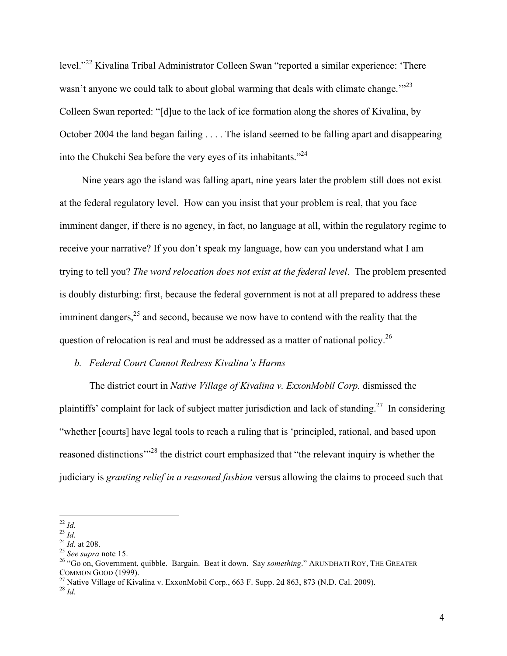level."<sup>22</sup> Kivalina Tribal Administrator Colleen Swan "reported a similar experience: 'There wasn't anyone we could talk to about global warming that deals with climate change."<sup>23</sup> Colleen Swan reported: "[d]ue to the lack of ice formation along the shores of Kivalina, by October 2004 the land began failing . . . . The island seemed to be falling apart and disappearing into the Chukchi Sea before the very eyes of its inhabitants."<sup>24</sup>

Nine years ago the island was falling apart, nine years later the problem still does not exist at the federal regulatory level. How can you insist that your problem is real, that you face imminent danger, if there is no agency, in fact, no language at all, within the regulatory regime to receive your narrative? If you don't speak my language, how can you understand what I am trying to tell you? *The word relocation does not exist at the federal level*. The problem presented is doubly disturbing: first, because the federal government is not at all prepared to address these imminent dangers, $^{25}$  and second, because we now have to contend with the reality that the question of relocation is real and must be addressed as a matter of national policy.<sup>26</sup>

## *b. Federal Court Cannot Redress Kivalina's Harms*

The district court in *Native Village of Kivalina v. ExxonMobil Corp.* dismissed the plaintiffs' complaint for lack of subject matter jurisdiction and lack of standing.<sup>27</sup> In considering "whether [courts] have legal tools to reach a ruling that is 'principled, rational, and based upon reasoned distinctions<sup>"28</sup> the district court emphasized that "the relevant inquiry is whether the judiciary is *granting relief in a reasoned fashion* versus allowing the claims to proceed such that

<sup>&</sup>lt;sup>22</sup> *Id.*<br><sup>23</sup> *Id.*<br><sup>24</sup> *Id.* at 208.<br><sup>25</sup> *See supra* note 15.<br><sup>25</sup> *See supra* note 15.<br><sup>26</sup> "Go on, Government, quibble. Bargain. Beat it down. Say *something*." ARUNDHATI ROY, THE GREATER<br>COMMON GOOD (1999).

<sup>&</sup>lt;sup>27</sup> Native Village of Kivalina v. ExxonMobil Corp., 663 F. Supp. 2d 863, 873 (N.D. Cal. 2009).<br><sup>28</sup> *Id*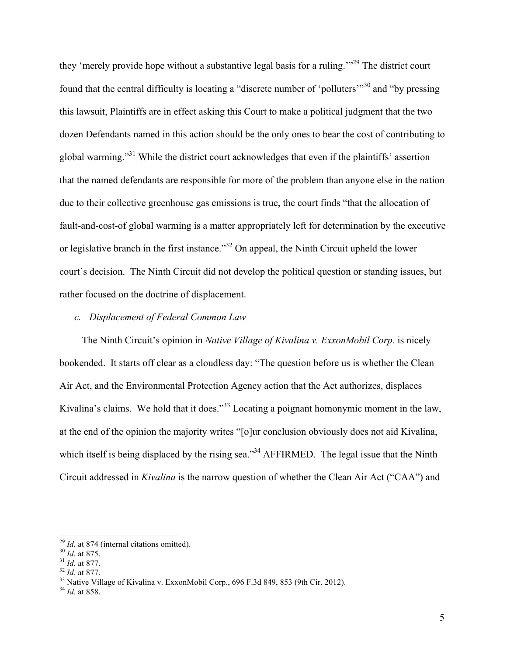they 'merely provide hope without a substantive legal basis for a ruling.'"29 The district court found that the central difficulty is locating a "discrete number of 'polluters'"<sup>30</sup> and "by pressing this lawsuit, Plaintiffs are in effect asking this Court to make a political judgment that the two dozen Defendants named in this action should be the only ones to bear the cost of contributing to global warming."<sup>31</sup> While the district court acknowledges that even if the plaintiffs' assertion that the named defendants are responsible for more of the problem than anyone else in the nation due to their collective greenhouse gas emissions is true, the court finds "that the allocation of fault-and-cost-of global warming is a matter appropriately left for determination by the executive or legislative branch in the first instance."32 On appeal, the Ninth Circuit upheld the lower court's decision. The Ninth Circuit did not develop the political question or standing issues, but rather focused on the doctrine of displacement.

### *c. Displacement of Federal Common Law*

The Ninth Circuit's opinion in *Native Village of Kivalina v. ExxonMobil Corp.* is nicely bookended. It starts off clear as a cloudless day: "The question before us is whether the Clean Air Act, and the Environmental Protection Agency action that the Act authorizes, displaces Kivalina's claims. We hold that it does."<sup>33</sup> Locating a poignant homonymic moment in the law, at the end of the opinion the majority writes "[o]ur conclusion obviously does not aid Kivalina, which itself is being displaced by the rising sea."<sup>34</sup> AFFIRMED. The legal issue that the Ninth Circuit addressed in *Kivalina* is the narrow question of whether the Clean Air Act ("CAA") and

<sup>&</sup>lt;sup>29</sup> *Id.* at 874 (internal citations omitted).<br><sup>30</sup> *Id.* at 875.<br><sup>31</sup> *Id.* at 877.<br><sup>32</sup> *Id.* at 877.<br><sup>33</sup> Native Village of Kivalina v. ExxonMobil Corp., 696 F.3d 849, 853 (9th Cir. 2012).<br><sup>34</sup> *Id.* at 858.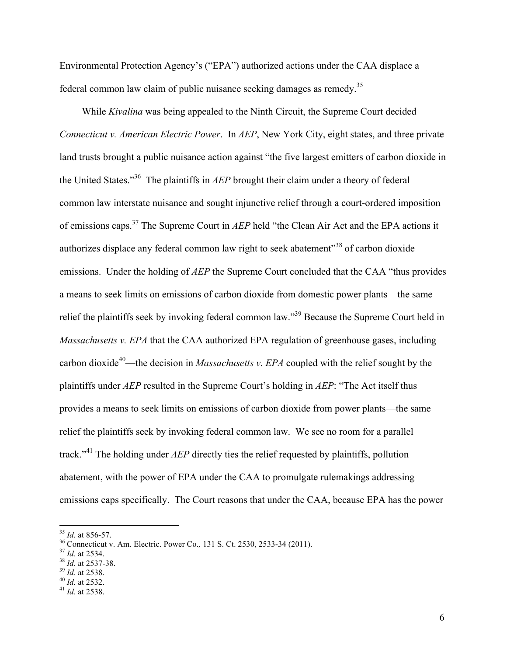Environmental Protection Agency's ("EPA") authorized actions under the CAA displace a federal common law claim of public nuisance seeking damages as remedy.35

While *Kivalina* was being appealed to the Ninth Circuit, the Supreme Court decided *Connecticut v. American Electric Power*. In *AEP*, New York City, eight states, and three private land trusts brought a public nuisance action against "the five largest emitters of carbon dioxide in the United States."36 The plaintiffs in *AEP* brought their claim under a theory of federal common law interstate nuisance and sought injunctive relief through a court-ordered imposition of emissions caps.37 The Supreme Court in *AEP* held "the Clean Air Act and the EPA actions it authorizes displace any federal common law right to seek abatement<sup>38</sup> of carbon dioxide emissions. Under the holding of *AEP* the Supreme Court concluded that the CAA "thus provides a means to seek limits on emissions of carbon dioxide from domestic power plants—the same relief the plaintiffs seek by invoking federal common law."39 Because the Supreme Court held in *Massachusetts v. EPA* that the CAA authorized EPA regulation of greenhouse gases, including carbon dioxide<sup>40</sup>—the decision in *Massachusetts v. EPA* coupled with the relief sought by the plaintiffs under *AEP* resulted in the Supreme Court's holding in *AEP*: "The Act itself thus provides a means to seek limits on emissions of carbon dioxide from power plants—the same relief the plaintiffs seek by invoking federal common law. We see no room for a parallel track."<sup>41</sup> The holding under *AEP* directly ties the relief requested by plaintiffs, pollution abatement, with the power of EPA under the CAA to promulgate rulemakings addressing emissions caps specifically. The Court reasons that under the CAA, because EPA has the power

<sup>&</sup>lt;sup>35</sup> *Id.* at 856-57.<br><sup>36</sup> Connecticut v. Am. Electric. Power Co., 131 S. Ct. 2530, 2533-34 (2011).<br><sup>37</sup> *Id.* at 2534.<br><sup>38</sup> *Id.* at 2537-38.<br><sup>39</sup> *Id.* at 2538.<br><sup>40</sup> *Id.* at 2532.<br><sup>41</sup> *Id.* at 2538.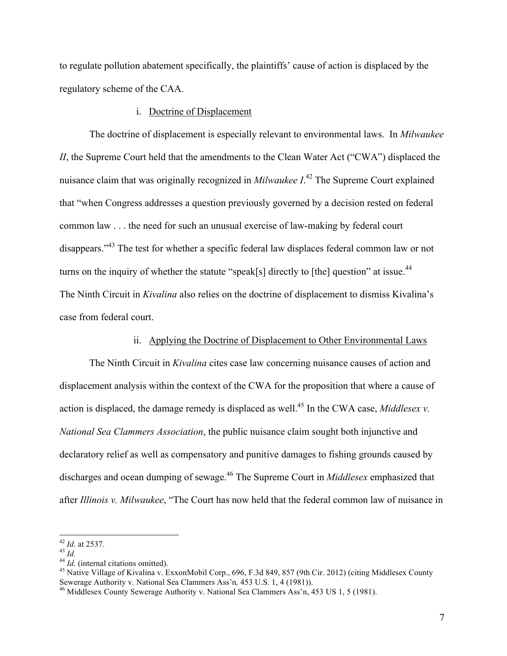to regulate pollution abatement specifically, the plaintiffs' cause of action is displaced by the regulatory scheme of the CAA.

### i. Doctrine of Displacement

The doctrine of displacement is especially relevant to environmental laws. In *Milwaukee II*, the Supreme Court held that the amendments to the Clean Water Act ("CWA") displaced the nuisance claim that was originally recognized in *Milwaukee I*. <sup>42</sup> The Supreme Court explained that "when Congress addresses a question previously governed by a decision rested on federal common law . . . the need for such an unusual exercise of law-making by federal court disappears.<sup>"43</sup> The test for whether a specific federal law displaces federal common law or not turns on the inquiry of whether the statute "speak[s] directly to [the] question" at issue.<sup>44</sup> The Ninth Circuit in *Kivalina* also relies on the doctrine of displacement to dismiss Kivalina's case from federal court.

# ii. Applying the Doctrine of Displacement to Other Environmental Laws

The Ninth Circuit in *Kivalina* cites case law concerning nuisance causes of action and displacement analysis within the context of the CWA for the proposition that where a cause of action is displaced, the damage remedy is displaced as well.<sup>45</sup> In the CWA case, *Middlesex v*. *National Sea Clammers Association*, the public nuisance claim sought both injunctive and declaratory relief as well as compensatory and punitive damages to fishing grounds caused by discharges and ocean dumping of sewage.<sup>46</sup> The Supreme Court in *Middlesex* emphasized that after *Illinois v. Milwaukee*, "The Court has now held that the federal common law of nuisance in

<sup>&</sup>lt;sup>42</sup> *Id.* at 2537.<br><sup>43</sup> *Id.*<br><sup>44</sup> *Id.* (internal citations omitted).<br><sup>45</sup> Native Village of Kivalina v. ExxonMobil Corp., 696, F.3d 849, 857 (9th Cir. 2012) (citing Middlesex County<br>Sewerage Authority v. National Sea C

<sup>&</sup>lt;sup>46</sup> Middlesex County Sewerage Authority v. National Sea Clammers Ass'n, 453 US 1, 5 (1981).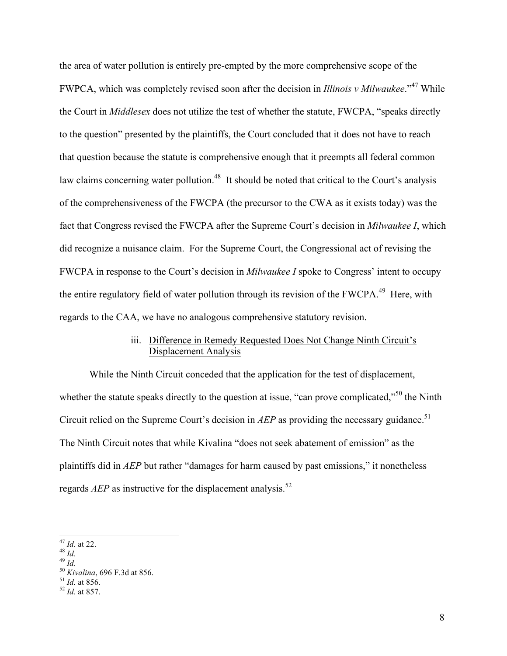the area of water pollution is entirely pre-empted by the more comprehensive scope of the FWPCA, which was completely revised soon after the decision in *Illinois v Milwaukee*." <sup>47</sup> While the Court in *Middlesex* does not utilize the test of whether the statute, FWCPA, "speaks directly to the question" presented by the plaintiffs, the Court concluded that it does not have to reach that question because the statute is comprehensive enough that it preempts all federal common law claims concerning water pollution.<sup>48</sup> It should be noted that critical to the Court's analysis of the comprehensiveness of the FWCPA (the precursor to the CWA as it exists today) was the fact that Congress revised the FWCPA after the Supreme Court's decision in *Milwaukee I*, which did recognize a nuisance claim. For the Supreme Court, the Congressional act of revising the FWCPA in response to the Court's decision in *Milwaukee I* spoke to Congress' intent to occupy the entire regulatory field of water pollution through its revision of the FWCPA.<sup>49</sup> Here, with regards to the CAA, we have no analogous comprehensive statutory revision.

# iii. Difference in Remedy Requested Does Not Change Ninth Circuit's Displacement Analysis

While the Ninth Circuit conceded that the application for the test of displacement, whether the statute speaks directly to the question at issue, "can prove complicated,"<sup>50</sup> the Ninth Circuit relied on the Supreme Court's decision in  $AEP$  as providing the necessary guidance.<sup>51</sup> The Ninth Circuit notes that while Kivalina "does not seek abatement of emission" as the plaintiffs did in *AEP* but rather "damages for harm caused by past emissions," it nonetheless regards *AEP* as instructive for the displacement analysis.<sup>52</sup>

<sup>!!!!!!!!!!!!!!!!!!!!!!!!!!!!!!!!!!!!!!!!!!!!!!!!!!!!!!!</sup> <sup>47</sup> *Id.* at 22. 48 *Id.* <sup>49</sup> *Id.* <sup>50</sup> *Kivalina*, 696 F.3d at 856. 51 *Id.* at 856. <sup>52</sup> *Id.* at 857.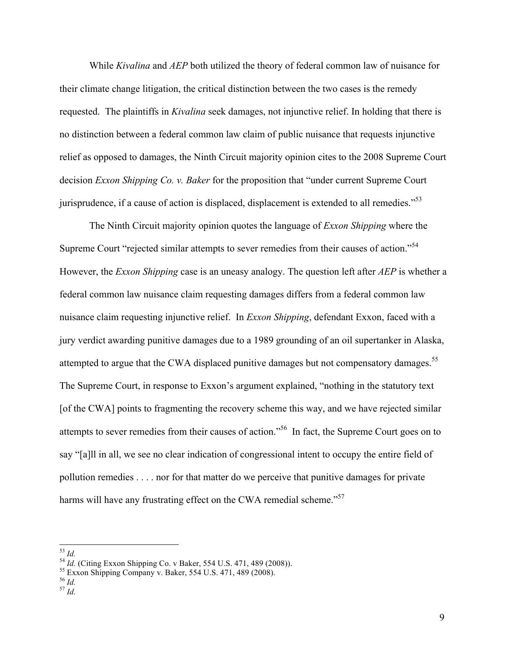While *Kivalina* and *AEP* both utilized the theory of federal common law of nuisance for their climate change litigation, the critical distinction between the two cases is the remedy requested. The plaintiffs in *Kivalina* seek damages, not injunctive relief. In holding that there is no distinction between a federal common law claim of public nuisance that requests injunctive relief as opposed to damages, the Ninth Circuit majority opinion cites to the 2008 Supreme Court decision *Exxon Shipping Co. v. Baker* for the proposition that "under current Supreme Court jurisprudence, if a cause of action is displaced, displacement is extended to all remedies.<sup> $35$ </sup>

The Ninth Circuit majority opinion quotes the language of *Exxon Shipping* where the Supreme Court "rejected similar attempts to sever remedies from their causes of action."<sup>54</sup> However, the *Exxon Shipping* case is an uneasy analogy. The question left after *AEP* is whether a federal common law nuisance claim requesting damages differs from a federal common law nuisance claim requesting injunctive relief. In *Exxon Shipping*, defendant Exxon, faced with a jury verdict awarding punitive damages due to a 1989 grounding of an oil supertanker in Alaska, attempted to argue that the CWA displaced punitive damages but not compensatory damages.<sup>55</sup> The Supreme Court, in response to Exxon's argument explained, "nothing in the statutory text [of the CWA] points to fragmenting the recovery scheme this way, and we have rejected similar attempts to sever remedies from their causes of action."56 In fact, the Supreme Court goes on to say "[a]ll in all, we see no clear indication of congressional intent to occupy the entire field of pollution remedies . . . . nor for that matter do we perceive that punitive damages for private harms will have any frustrating effect on the CWA remedial scheme."<sup>57</sup>

<sup>&</sup>lt;sup>53</sup> *Id.*<br>
<sup>54</sup> *Id.* (Citing Exxon Shipping Co. v Baker, 554 U.S. 471, 489 (2008)).<br>
<sup>55</sup> Exxon Shipping Company v. Baker, 554 U.S. 471, 489 (2008).<br>
<sup>56</sup> *Id.*<br>
<sup>57</sup> *Id.*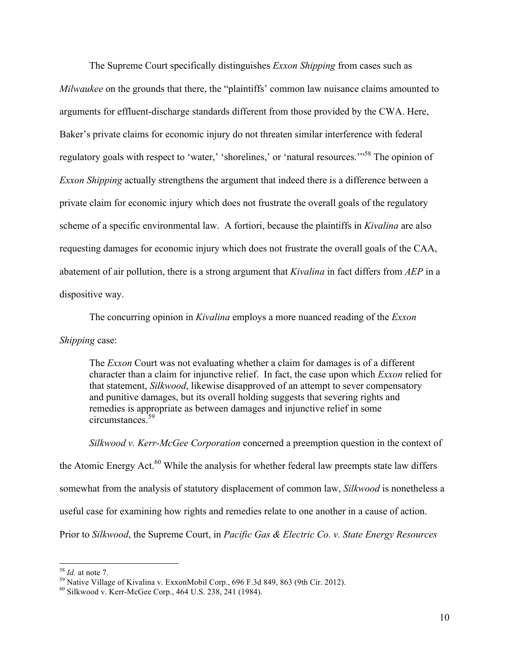The Supreme Court specifically distinguishes *Exxon Shipping* from cases such as *Milwaukee* on the grounds that there, the "plaintiffs' common law nuisance claims amounted to arguments for effluent-discharge standards different from those provided by the CWA. Here, Baker's private claims for economic injury do not threaten similar interference with federal regulatory goals with respect to 'water,' 'shorelines,' or 'natural resources.'"<sup>58</sup> The opinion of *Exxon Shipping* actually strengthens the argument that indeed there is a difference between a private claim for economic injury which does not frustrate the overall goals of the regulatory scheme of a specific environmental law. A fortiori, because the plaintiffs in *Kivalina* are also requesting damages for economic injury which does not frustrate the overall goals of the CAA, abatement of air pollution, there is a strong argument that *Kivalina* in fact differs from *AEP* in a dispositive way.

The concurring opinion in *Kivalina* employs a more nuanced reading of the *Exxon* 

# *Shipping* case:

The *Exxon* Court was not evaluating whether a claim for damages is of a different character than a claim for injunctive relief. In fact, the case upon which *Exxon* relied for that statement, *Silkwood*, likewise disapproved of an attempt to sever compensatory and punitive damages, but its overall holding suggests that severing rights and remedies is appropriate as between damages and injunctive relief in some circumstances.<sup>59</sup>

*Silkwood v. Kerr-McGee Corporation* concerned a preemption question in the context of the Atomic Energy Act. $^{60}$  While the analysis for whether federal law preempts state law differs somewhat from the analysis of statutory displacement of common law, *Silkwood* is nonetheless a useful case for examining how rights and remedies relate to one another in a cause of action. Prior to *Silkwood*, the Supreme Court, in *Pacific Gas & Electric Co. v. State Energy Resources* 

<sup>&</sup>lt;sup>58</sup> *Id.* at note 7.<br><sup>59</sup> Native Village of Kivalina v. ExxonMobil Corp., 696 F.3d 849, 863 (9th Cir. 2012).<br><sup>60</sup> Silkwood v. Kerr-McGee Corp., 464 U.S. 238, 241 (1984).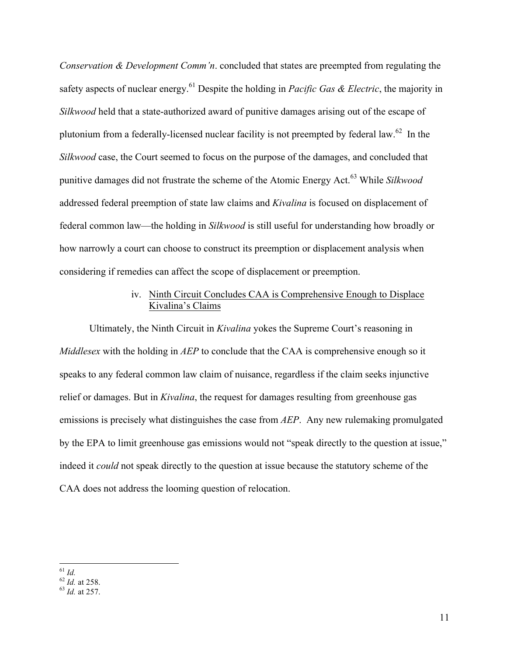*Conservation & Development Comm'n*. concluded that states are preempted from regulating the safety aspects of nuclear energy.<sup>61</sup> Despite the holding in *Pacific Gas & Electric*, the majority in *Silkwood* held that a state-authorized award of punitive damages arising out of the escape of plutonium from a federally-licensed nuclear facility is not preempted by federal law.<sup>62</sup> In the *Silkwood* case, the Court seemed to focus on the purpose of the damages, and concluded that punitive damages did not frustrate the scheme of the Atomic Energy Act.<sup>63</sup> While *Silkwood*  addressed federal preemption of state law claims and *Kivalina* is focused on displacement of federal common law—the holding in *Silkwood* is still useful for understanding how broadly or how narrowly a court can choose to construct its preemption or displacement analysis when considering if remedies can affect the scope of displacement or preemption.

# iv. Ninth Circuit Concludes CAA is Comprehensive Enough to Displace Kivalina's Claims

Ultimately, the Ninth Circuit in *Kivalina* yokes the Supreme Court's reasoning in *Middlesex* with the holding in *AEP* to conclude that the CAA is comprehensive enough so it speaks to any federal common law claim of nuisance, regardless if the claim seeks injunctive relief or damages. But in *Kivalina*, the request for damages resulting from greenhouse gas emissions is precisely what distinguishes the case from *AEP*. Any new rulemaking promulgated by the EPA to limit greenhouse gas emissions would not "speak directly to the question at issue," indeed it *could* not speak directly to the question at issue because the statutory scheme of the CAA does not address the looming question of relocation.

<sup>&</sup>lt;sup>61</sup> *Id.* <br><sup>62</sup> *Id.* at 258. <sup>63</sup> *Id.* at 257.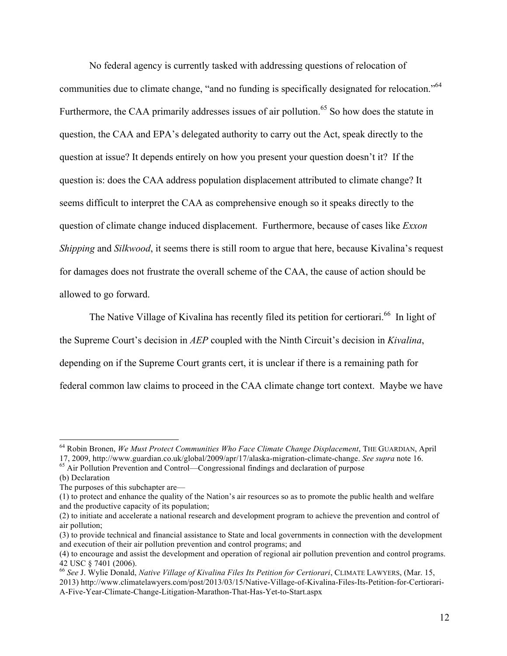No federal agency is currently tasked with addressing questions of relocation of communities due to climate change, "and no funding is specifically designated for relocation."64 Furthermore, the CAA primarily addresses issues of air pollution.<sup>65</sup> So how does the statute in question, the CAA and EPA's delegated authority to carry out the Act, speak directly to the question at issue? It depends entirely on how you present your question doesn't it? If the question is: does the CAA address population displacement attributed to climate change? It seems difficult to interpret the CAA as comprehensive enough so it speaks directly to the question of climate change induced displacement. Furthermore, because of cases like *Exxon Shipping* and *Silkwood*, it seems there is still room to argue that here, because Kivalina's request for damages does not frustrate the overall scheme of the CAA, the cause of action should be allowed to go forward.

The Native Village of Kivalina has recently filed its petition for certiorari.<sup>66</sup> In light of the Supreme Court's decision in *AEP* coupled with the Ninth Circuit's decision in *Kivalina*, depending on if the Supreme Court grants cert, it is unclear if there is a remaining path for federal common law claims to proceed in the CAA climate change tort context. Maybe we have

<sup>&</sup>lt;sup>64</sup> Robin Bronen, *We Must Protect Communities Who Face Climate Change Displacement*, THE GUARDIAN, April 17, 2009, http://www.guardian.co.uk/global/2009/apr/17/alaska-migration-climate-change. *See supra* note 16.

<sup>&</sup>lt;sup>65</sup> Air Pollution Prevention and Control—Congressional findings and declaration of purpose

<sup>(</sup>b) Declaration

The purposes of this subchapter are—

<sup>(1)</sup> to protect and enhance the quality of the Nation's air resources so as to promote the public health and welfare and the productive capacity of its population;

<sup>(2)</sup> to initiate and accelerate a national research and development program to achieve the prevention and control of air pollution;

<sup>(3)</sup> to provide technical and financial assistance to State and local governments in connection with the development and execution of their air pollution prevention and control programs; and

<sup>(4)</sup> to encourage and assist the development and operation of regional air pollution prevention and control programs. 42 USC § 7401 (2006). <sup>66</sup> *See* J. Wylie Donald, *Native Village of Kivalina Files Its Petition for Certiorari*, CLIMATE LAWYERS, (Mar. 15,

<sup>2013)</sup> http://www.climatelawyers.com/post/2013/03/15/Native-Village-of-Kivalina-Files-Its-Petition-for-Certiorari-A-Five-Year-Climate-Change-Litigation-Marathon-That-Has-Yet-to-Start.aspx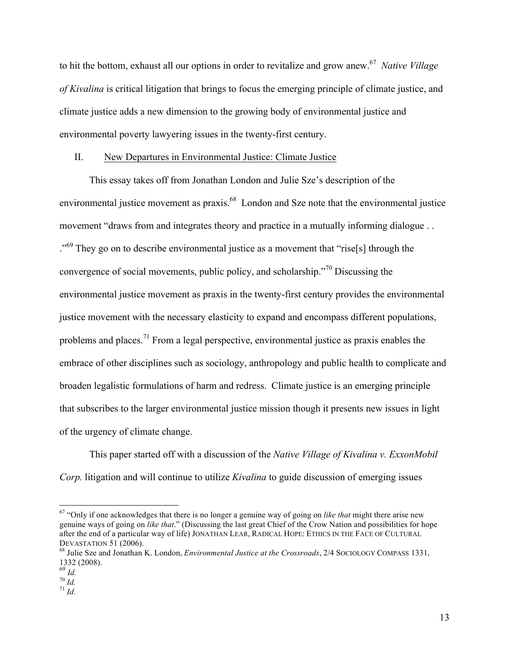to hit the bottom, exhaust all our options in order to revitalize and grow anew.67 *Native Village of Kivalina* is critical litigation that brings to focus the emerging principle of climate justice, and climate justice adds a new dimension to the growing body of environmental justice and environmental poverty lawyering issues in the twenty-first century.

### II. New Departures in Environmental Justice: Climate Justice

This essay takes off from Jonathan London and Julie Sze's description of the environmental justice movement as praxis.<sup>68</sup> London and Sze note that the environmental justice movement "draws from and integrates theory and practice in a mutually informing dialogue... <sup>."69</sup> They go on to describe environmental justice as a movement that "rise[s] through the convergence of social movements, public policy, and scholarship."<sup>70</sup> Discussing the environmental justice movement as praxis in the twenty-first century provides the environmental justice movement with the necessary elasticity to expand and encompass different populations, problems and places.<sup>71</sup> From a legal perspective, environmental justice as praxis enables the embrace of other disciplines such as sociology, anthropology and public health to complicate and broaden legalistic formulations of harm and redress. Climate justice is an emerging principle that subscribes to the larger environmental justice mission though it presents new issues in light of the urgency of climate change.

This paper started off with a discussion of the *Native Village of Kivalina v. ExxonMobil Corp.* litigation and will continue to utilize *Kivalina* to guide discussion of emerging issues

 $167$  "Only if one acknowledges that there is no longer a genuine way of going on *like that* might there arise new genuine ways of going on *like that*." (Discussing the last great Chief of the Crow Nation and possibilities for hope after the end of a particular way of life) JONATHAN LEAR, RADICAL HOPE: ETHICS IN THE FACE OF CULTURAL DEVASTATION 51 (2006).<br><sup>68</sup> Julie Sze and Jonathan K. London, *Environmental Justice at the Crossroads*, 2/4 SOCIOLOGY COMPASS 1331,

<sup>1332 (2008).</sup> 

 $rac{69}{70}$  *Id.* 

 $^{71}$  *Id.*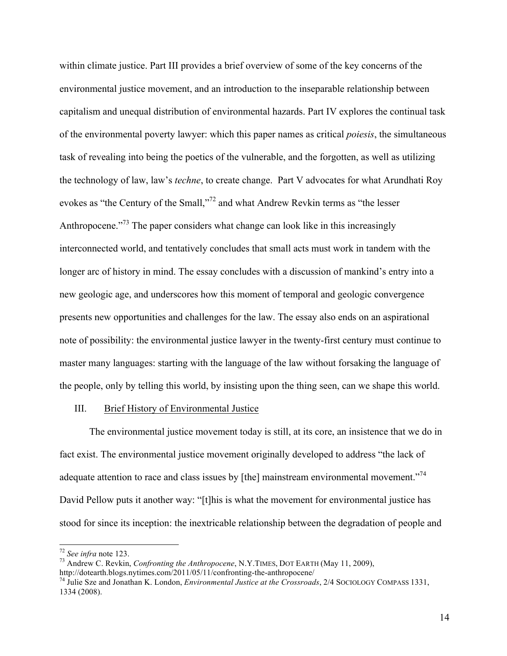within climate justice. Part III provides a brief overview of some of the key concerns of the environmental justice movement, and an introduction to the inseparable relationship between capitalism and unequal distribution of environmental hazards. Part IV explores the continual task of the environmental poverty lawyer: which this paper names as critical *poiesis*, the simultaneous task of revealing into being the poetics of the vulnerable, and the forgotten, as well as utilizing the technology of law, law's *techne*, to create change. Part V advocates for what Arundhati Roy evokes as "the Century of the Small,"<sup>72</sup> and what Andrew Revkin terms as "the lesser Anthropocene."<sup>73</sup> The paper considers what change can look like in this increasingly interconnected world, and tentatively concludes that small acts must work in tandem with the longer arc of history in mind. The essay concludes with a discussion of mankind's entry into a new geologic age, and underscores how this moment of temporal and geologic convergence presents new opportunities and challenges for the law. The essay also ends on an aspirational note of possibility: the environmental justice lawyer in the twenty-first century must continue to master many languages: starting with the language of the law without forsaking the language of the people, only by telling this world, by insisting upon the thing seen, can we shape this world.

## III. Brief History of Environmental Justice

The environmental justice movement today is still, at its core, an insistence that we do in fact exist. The environmental justice movement originally developed to address "the lack of adequate attention to race and class issues by [the] mainstream environmental movement.<sup> $274$ </sup> David Pellow puts it another way: "[t]his is what the movement for environmental justice has stood for since its inception: the inextricable relationship between the degradation of people and

<sup>&</sup>lt;sup>72</sup> See infra note 123.<br><sup>73</sup> Andrew C. Revkin, *Confronting the Anthropocene*, N.Y.TIMES, DOT EARTH (May 11, 2009), http://dotearth.blogs.nytimes.com/2011/05/11/confronting-the-anthropocene/

<sup>&</sup>lt;sup>74</sup> Julie Sze and Jonathan K. London, *Environmental Justice at the Crossroads*, 2/4 SOCIOLOGY COMPASS 1331, 1334 (2008).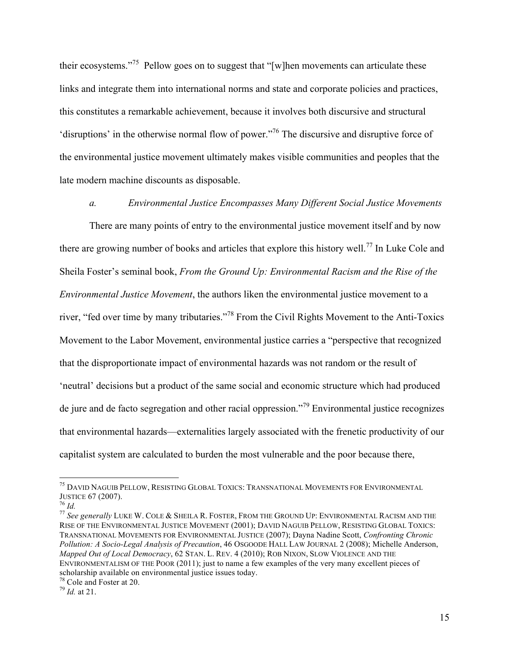their ecosystems."75 Pellow goes on to suggest that "[w]hen movements can articulate these links and integrate them into international norms and state and corporate policies and practices, this constitutes a remarkable achievement, because it involves both discursive and structural 'disruptions' in the otherwise normal flow of power."76 The discursive and disruptive force of the environmental justice movement ultimately makes visible communities and peoples that the late modern machine discounts as disposable.

*a. Environmental Justice Encompasses Many Different Social Justice Movements*

There are many points of entry to the environmental justice movement itself and by now there are growing number of books and articles that explore this history well.<sup>77</sup> In Luke Cole and Sheila Foster's seminal book, *From the Ground Up: Environmental Racism and the Rise of the Environmental Justice Movement*, the authors liken the environmental justice movement to a river, "fed over time by many tributaries."78 From the Civil Rights Movement to the Anti-Toxics Movement to the Labor Movement, environmental justice carries a "perspective that recognized that the disproportionate impact of environmental hazards was not random or the result of 'neutral' decisions but a product of the same social and economic structure which had produced de jure and de facto segregation and other racial oppression."<sup>79</sup> Environmental justice recognizes that environmental hazards—externalities largely associated with the frenetic productivity of our capitalist system are calculated to burden the most vulnerable and the poor because there,

<sup>&</sup>lt;sup>75</sup> DAVID NAGUIB PELLOW, RESISTING GLOBAL TOXICS: TRANSNATIONAL MOVEMENTS FOR ENVIRONMENTAL JUSTICE  $67$  (2007).

<sup>&</sup>lt;sup>76</sup> Id.<br><sup>77</sup> See generally LUKE W. COLE & SHEILA R. FOSTER, FROM THE GROUND UP: ENVIRONMENTAL RACISM AND THE RISE OF THE ENVIRONMENTAL JUSTICE MOVEMENT (2001); DAVID NAGUIB PELLOW, RESISTING GLOBAL TOXICS: TRANSNATIONAL MOVEMENTS FOR ENVIRONMENTAL JUSTICE (2007); Dayna Nadine Scott, *Confronting Chronic Pollution: A Socio-Legal Analysis of Precaution*, 46 OSGOODE HALL LAW JOURNAL 2 (2008); Michelle Anderson, *Mapped Out of Local Democracy*, 62 STAN. L. REV. 4 (2010); ROB NIXON, SLOW VIOLENCE AND THE ENVIRONMENTALISM OF THE POOR (2011); just to name a few examples of the very many excellent pieces of scholarship available on environmental justice issues today.

 $^{78}$  Cole and Foster at 20.<br> $^{79}$  *Id.* at 21.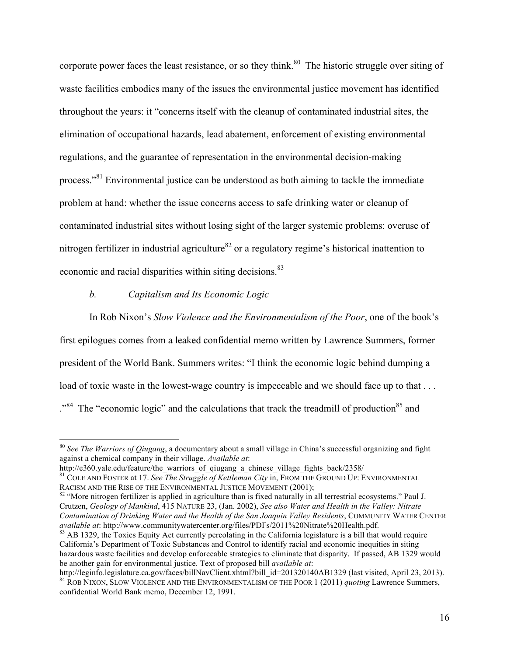corporate power faces the least resistance, or so they think.<sup>80</sup> The historic struggle over siting of waste facilities embodies many of the issues the environmental justice movement has identified throughout the years: it "concerns itself with the cleanup of contaminated industrial sites, the elimination of occupational hazards, lead abatement, enforcement of existing environmental regulations, and the guarantee of representation in the environmental decision-making process."<sup>81</sup> Environmental justice can be understood as both aiming to tackle the immediate problem at hand: whether the issue concerns access to safe drinking water or cleanup of contaminated industrial sites without losing sight of the larger systemic problems: overuse of nitrogen fertilizer in industrial agriculture<sup>82</sup> or a regulatory regime's historical inattention to economic and racial disparities within siting decisions.<sup>83</sup>

#### *b. Capitalism and Its Economic Logic*

In Rob Nixon's *Slow Violence and the Environmentalism of the Poor*, one of the book's first epilogues comes from a leaked confidential memo written by Lawrence Summers, former president of the World Bank. Summers writes: "I think the economic logic behind dumping a load of toxic waste in the lowest-wage country is impeccable and we should face up to that . . . .<sup>84</sup> The "economic logic" and the calculations that track the treadmill of production<sup>85</sup> and

<sup>&</sup>lt;sup>80</sup> See The Warriors of Qiugang, a documentary about a small village in China's successful organizing and fight against a chemical company in their village. *Available at*:

http://e360.yale.edu/feature/the\_warriors\_of\_qiugang\_a\_chinese\_village\_fights\_back/2358/<br><sup>81</sup> COLE AND FOSTER at 17. *See The Struggle of Kettleman City* in, FROM THE GROUND UP: ENVIRONMENTAL<br>RACISM AND THE RISE OF THE ENV

 $82$  "More nitrogen fertilizer is applied in agriculture than is fixed naturally in all terrestrial ecosystems." Paul J. Crutzen, *Geology of Mankind*, 415 NATURE 23, (Jan. 2002), *See also Water and Health in the Valley: Nitrate Contamination of Drinking Water and the Health of the San Joaquin Valley Residents*, COMMUNITY WATER CENTER *available at: http://www.communitywatercenter.org/files/PDFs/2011%20Nitrate%20Health.pdf.* 

<sup>&</sup>lt;sup>83</sup> AB 1329, the Toxics Equity Act currently percolating in the California legislature is a bill that would require California's Department of Toxic Substances and Control to identify racial and economic inequities in siting hazardous waste facilities and develop enforceable strategies to eliminate that disparity. If passed, AB 1329 would be another gain for environmental justice. Text of proposed bill *available at*:

http://leginfo.legislature.ca.gov/faces/billNavClient.xhtml?bill\_id=201320140AB1329 (last visited, April 23, 2013). <sup>84</sup> ROB NIXON, SLOW VIOLENCE AND THE ENVIRONMENTALISM OF THE POOR 1 (2011) *quoting* Lawrence Summers, confidential World Bank memo, December 12, 1991.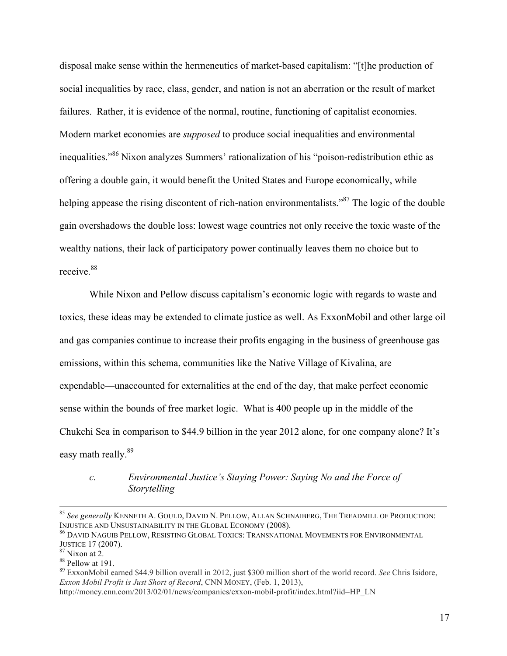disposal make sense within the hermeneutics of market-based capitalism: "[t]he production of social inequalities by race, class, gender, and nation is not an aberration or the result of market failures. Rather, it is evidence of the normal, routine, functioning of capitalist economies. Modern market economies are *supposed* to produce social inequalities and environmental inequalities."86 Nixon analyzes Summers' rationalization of his "poison-redistribution ethic as offering a double gain, it would benefit the United States and Europe economically, while helping appease the rising discontent of rich-nation environmentalists.<sup>87</sup> The logic of the double gain overshadows the double loss: lowest wage countries not only receive the toxic waste of the wealthy nations, their lack of participatory power continually leaves them no choice but to receive<sup>88</sup>

While Nixon and Pellow discuss capitalism's economic logic with regards to waste and toxics, these ideas may be extended to climate justice as well. As ExxonMobil and other large oil and gas companies continue to increase their profits engaging in the business of greenhouse gas emissions, within this schema, communities like the Native Village of Kivalina, are expendable—unaccounted for externalities at the end of the day, that make perfect economic sense within the bounds of free market logic. What is 400 people up in the middle of the Chukchi Sea in comparison to \$44.9 billion in the year 2012 alone, for one company alone? It's easy math really.<sup>89</sup>

# *c. Environmental Justice's Staying Power: Saying No and the Force of Storytelling*

 $85$  See generally KENNETH A. GOULD, DAVID N. PELLOW, ALLAN SCHNAIBERG, THE TREADMILL OF PRODUCTION:<br>INJUSTICE AND UNSUSTAINABILITY IN THE GLOBAL ECONOMY (2008).

 $^{86}$  David Naguib Pellow, Resisting Global Toxics: Transnational Movements for Environmental JUSTICE 17 (2007).<br><sup>87</sup> Nixon at 2.<br><sup>88</sup> Pellow at 191.<br><sup>89</sup> ExxonMobil earned \$44.9 billion overall in 2012, just \$300 million short of the world record. *See* Chris Isidore,

*Exxon Mobil Profit is Just Short of Record*, CNN MONEY, (Feb. 1, 2013),

http://money.cnn.com/2013/02/01/news/companies/exxon-mobil-profit/index.html?iid=HP\_LN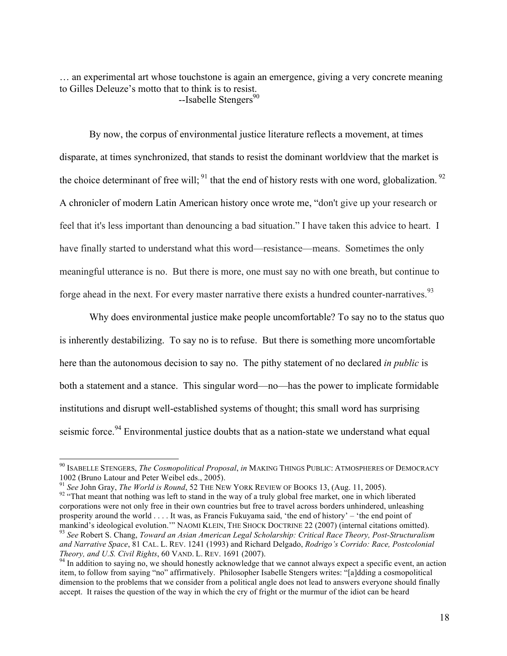… an experimental art whose touchstone is again an emergence, giving a very concrete meaning to Gilles Deleuze's motto that to think is to resist.  $-$ Isabelle Stengers<sup>90</sup>

By now, the corpus of environmental justice literature reflects a movement, at times disparate, at times synchronized, that stands to resist the dominant worldview that the market is the choice determinant of free will;  $91$  that the end of history rests with one word, globalization.  $92$ A chronicler of modern Latin American history once wrote me, "don't give up your research or feel that it's less important than denouncing a bad situation." I have taken this advice to heart. I have finally started to understand what this word—resistance—means. Sometimes the only meaningful utterance is no. But there is more, one must say no with one breath, but continue to forge ahead in the next. For every master narrative there exists a hundred counter-narratives.  $93$ 

Why does environmental justice make people uncomfortable? To say no to the status quo is inherently destabilizing. To say no is to refuse. But there is something more uncomfortable here than the autonomous decision to say no. The pithy statement of no declared *in public* is both a statement and a stance. This singular word—no—has the power to implicate formidable institutions and disrupt well-established systems of thought; this small word has surprising seismic force.<sup>94</sup> Environmental justice doubts that as a nation-state we understand what equal

<sup>&</sup>lt;sup>90</sup> ISABELLE STENGERS, *The Cosmopolitical Proposal*, *in* MAKING THINGS PUBLIC: ATMOSPHERES OF DEMOCRACY

<sup>1002 (</sup>Bruno Latour and Peter Weibel eds., 2005).<br><sup>91</sup> See John Gray, *The World is Round*, 52 THE NEW YORK REVIEW OF BOOKS 13, (Aug. 11, 2005).<br><sup>92</sup> "That meant that nothing was left to stand in the way of a truly global f corporations were not only free in their own countries but free to travel across borders unhindered, unleashing prosperity around the world . . . . It was, as Francis Fukuyama said, 'the end of history' – 'the end point of mankind's ideological evolution." NAOMI KLEIN, THE SHOCK DOCTRINE 22 (2007) (internal citations omitted).

<sup>&</sup>lt;sup>93</sup> See Robert S. Chang, Toward an Asian American Legal Scholarship: Critical Race Theory, Post-Structuralism *and Narrative Space*, 81 CAL. L. REV. 1241 (1993) and Richard Delgado, *Rodrigo's Corrido: Race, Postcolonial Theory, and U.S. Civil Rights*, 60 VAND. L. REV. 1691 (2007).<br><sup>94</sup> In addition to saying no, we should honestly acknowledge that we cannot always expect a specific event, an action

item, to follow from saying "no" affirmatively. Philosopher Isabelle Stengers writes: "[a]dding a cosmopolitical dimension to the problems that we consider from a political angle does not lead to answers everyone should finally accept. It raises the question of the way in which the cry of fright or the murmur of the idiot can be heard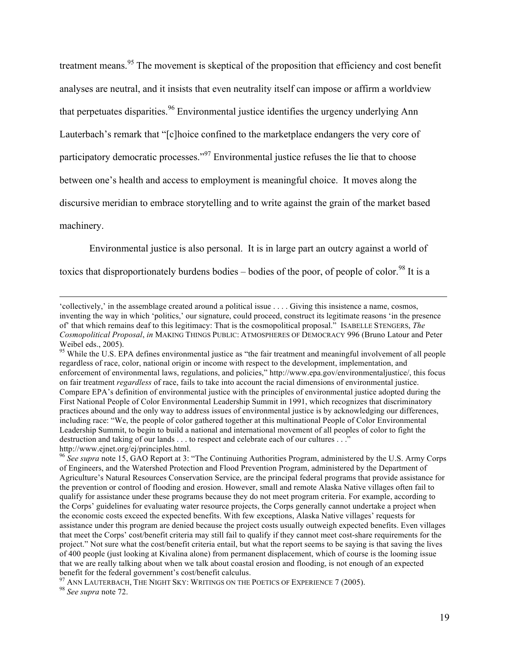treatment means.<sup>95</sup> The movement is skeptical of the proposition that efficiency and cost benefit analyses are neutral, and it insists that even neutrality itself can impose or affirm a worldview that perpetuates disparities.<sup>96</sup> Environmental justice identifies the urgency underlying Ann Lauterbach's remark that "[c]hoice confined to the marketplace endangers the very core of participatory democratic processes."<sup>97</sup> Environmental justice refuses the lie that to choose between one's health and access to employment is meaningful choice. It moves along the discursive meridian to embrace storytelling and to write against the grain of the market based machinery.

Environmental justice is also personal. It is in large part an outcry against a world of

toxics that disproportionately burdens bodies – bodies of the poor, of people of color.<sup>98</sup> It is a

!!!!!!!!!!!!!!!!!!!!!!!!!!!!!!!!!!!!!!!!!!!!!!!!!!!!!!!!!!!!!!!!!!!!!!!!!!!!!!!!!!!!!!!!!!!!!!!!!!!!!!!!!!!!!!!!!!!!!!!!!!!!!!!!!!!!!!!!!!!!!!!!!!!!!!!!!!!!!!!!!!!!!!!!!!!!!!!!!!

<sup>&#</sup>x27;collectively,' in the assemblage created around a political issue . . . . Giving this insistence a name, cosmos, inventing the way in which 'politics,' our signature, could proceed, construct its legitimate reasons 'in the presence of' that which remains deaf to this legitimacy: That is the cosmopolitical proposal." ISABELLE STENGERS, *The Cosmopolitical Proposal*, *in* MAKING THINGS PUBLIC: ATMOSPHERES OF DEMOCRACY 996 (Bruno Latour and Peter Weibel eds., 2005).

<sup>&</sup>lt;sup>95</sup> While the U.S. EPA defines environmental justice as "the fair treatment and meaningful involvement of all people regardless of race, color, national origin or income with respect to the development, implementation, and enforcement of environmental laws, regulations, and policies," http://www.epa.gov/environmentaljustice/, this focus on fair treatment *regardless* of race, fails to take into account the racial dimensions of environmental justice. Compare EPA's definition of environmental justice with the principles of environmental justice adopted during the First National People of Color Environmental Leadership Summit in 1991, which recognizes that discriminatory practices abound and the only way to address issues of environmental justice is by acknowledging our differences, including race: "We, the people of color gathered together at this multinational People of Color Environmental Leadership Summit, to begin to build a national and international movement of all peoples of color to fight the destruction and taking of our lands . . . to respect and celebrate each of our cultures . . ." http://www.ejnet.org/ej/principles.html.

<sup>96</sup> *See supra* note 15, GAO Report at 3: "The Continuing Authorities Program, administered by the U.S. Army Corps of Engineers, and the Watershed Protection and Flood Prevention Program, administered by the Department of Agriculture's Natural Resources Conservation Service, are the principal federal programs that provide assistance for the prevention or control of flooding and erosion. However, small and remote Alaska Native villages often fail to qualify for assistance under these programs because they do not meet program criteria. For example, according to the Corps' guidelines for evaluating water resource projects, the Corps generally cannot undertake a project when the economic costs exceed the expected benefits. With few exceptions, Alaska Native villages' requests for assistance under this program are denied because the project costs usually outweigh expected benefits. Even villages that meet the Corps' cost/benefit criteria may still fail to qualify if they cannot meet cost-share requirements for the project." Not sure what the cost/benefit criteria entail, but what the report seems to be saying is that saving the lives of 400 people (just looking at Kivalina alone) from permanent displacement, which of course is the looming issue that we are really talking about when we talk about coastal erosion and flooding, is not enough of an expected benefit for the federal government's cost/benefit calculus.<br><sup>97</sup> ANN LAUTERBACH, THE NIGHT SKY: WRITINGS ON THE POETICS OF EXPERIENCE 7 (2005).<br><sup>98</sup> *See supra* note 72.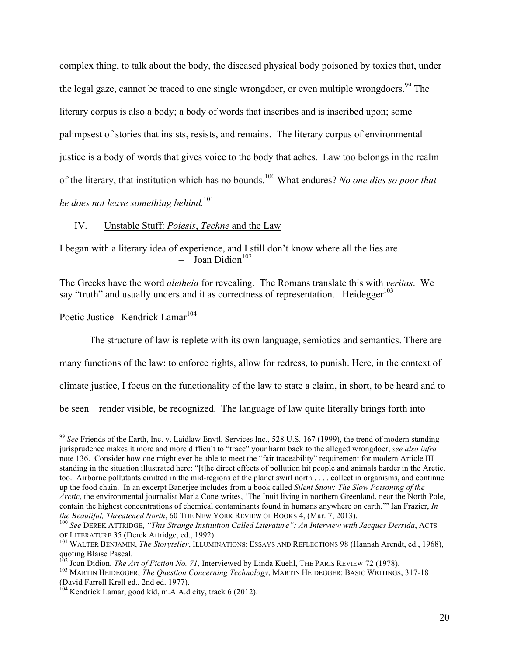complex thing, to talk about the body, the diseased physical body poisoned by toxics that, under the legal gaze, cannot be traced to one single wrongdoer, or even multiple wrongdoers.<sup>99</sup> The literary corpus is also a body; a body of words that inscribes and is inscribed upon; some palimpsest of stories that insists, resists, and remains. The literary corpus of environmental justice is a body of words that gives voice to the body that aches. Law too belongs in the realm of the literary, that institution which has no bounds.100 What endures? *No one dies so poor that he does not leave something behind.*<sup>101</sup>

IV. Unstable Stuff: *Poiesis*, *Techne* and the Law

I began with a literary idea of experience, and I still don't know where all the lies are.  $-$  Joan Didion<sup>102</sup>

The Greeks have the word *aletheia* for revealing. The Romans translate this with *veritas*. We say "truth" and usually understand it as correctness of representation. -Heidegger<sup>103</sup>

Poetic Justice –Kendrick Lamar<sup>104</sup>

The structure of law is replete with its own language, semiotics and semantics. There are

many functions of the law: to enforce rights, allow for redress, to punish. Here, in the context of

climate justice, I focus on the functionality of the law to state a claim, in short, to be heard and to

be seen—render visible, be recognized. The language of law quite literally brings forth into

<sup>&</sup>lt;sup>99</sup> See Friends of the Earth, Inc. v. Laidlaw Envtl. Services Inc., 528 U.S. 167 (1999), the trend of modern standing jurisprudence makes it more and more difficult to "trace" your harm back to the alleged wrongdoer, *see also infra* note 136. Consider how one might ever be able to meet the "fair traceability" requirement for modern Article III standing in the situation illustrated here: "[t]he direct effects of pollution hit people and animals harder in the Arctic, too. Airborne pollutants emitted in the mid-regions of the planet swirl north . . . . collect in organisms, and continue up the food chain. In an excerpt Banerjee includes from a book called *Silent Snow: The Slow Poisoning of the Arctic*, the environmental journalist Marla Cone writes, 'The Inuit living in northern Greenland, near the North Pole, contain the highest concentrations of chemical contaminants found in humans anywhere on earth.'" Ian Frazier, *In* 

*the Beautiful, Threatened North,* 60 THE NEW YORK REVIEW OF BOOKS 4, (Mar. 7, 2013).<br><sup>100</sup> *See DEREK ATTRIDGE, "This Strange Institution Called Literature": An Interview with Jacques Derrida, ACTS*<br>OF LITERATURE 35 (Dere

<sup>&</sup>lt;sup>101</sup> WALTER BENJAMIN, *The Storyteller*, ILLUMINATIONS: ESSAYS AND REFLECTIONS 98 (Hannah Arendt, ed., 1968), quoting Blaise Pascal.<br><sup>102</sup> Joan Didion, *The Art of Fiction No. 71*, Interviewed by Linda Kuehl, THE PARIS REVIEW 72 (1978).

<sup>&</sup>lt;sup>103</sup> MARTIN HEIDEGGER, *The Question Concerning Technology*, MARTIN HEIDEGGER: BASIC WRITINGS, 317-18 (David Farrell Krell ed., 2nd ed. 1977).

<sup>&</sup>lt;sup>104</sup> Kendrick Lamar, good kid, m.A.A.d city, track 6 (2012).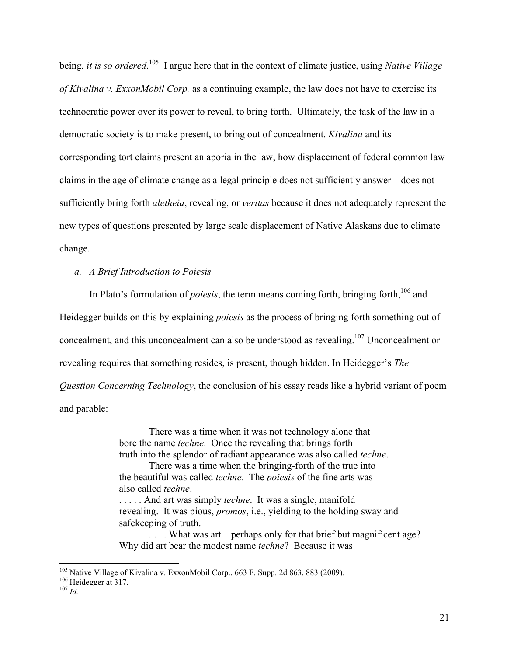being, *it is so ordered*. 105 I argue here that in the context of climate justice, using *Native Village of Kivalina v. ExxonMobil Corp.* as a continuing example, the law does not have to exercise its technocratic power over its power to reveal, to bring forth. Ultimately, the task of the law in a democratic society is to make present, to bring out of concealment. *Kivalina* and its corresponding tort claims present an aporia in the law, how displacement of federal common law claims in the age of climate change as a legal principle does not sufficiently answer—does not sufficiently bring forth *aletheia*, revealing, or *veritas* because it does not adequately represent the new types of questions presented by large scale displacement of Native Alaskans due to climate change.

## *a. A Brief Introduction to Poiesis*

In Plato's formulation of *poiesis*, the term means coming forth, bringing forth,<sup>106</sup> and Heidegger builds on this by explaining *poiesis* as the process of bringing forth something out of concealment, and this unconcealment can also be understood as revealing.<sup>107</sup> Unconcealment or revealing requires that something resides, is present, though hidden. In Heidegger's *The Question Concerning Technology*, the conclusion of his essay reads like a hybrid variant of poem and parable:

> There was a time when it was not technology alone that bore the name *techne*. Once the revealing that brings forth truth into the splendor of radiant appearance was also called *techne*. There was a time when the bringing-forth of the true into the beautiful was called *techne*. The *poiesis* of the fine arts was also called *techne*. . . . . . And art was simply *techne*. It was a single, manifold revealing. It was pious, *promos*, i.e., yielding to the holding sway and safekeeping of truth. . . . . What was art—perhaps only for that brief but magnificent age?

Why did art bear the modest name *techne*? Because it was

<sup>&</sup>lt;sup>105</sup> Native Village of Kivalina v. ExxonMobil Corp., 663 F. Supp. 2d 863, 883 (2009). <sup>106</sup> Heidegger at 317. *107 <i>Id*</sub>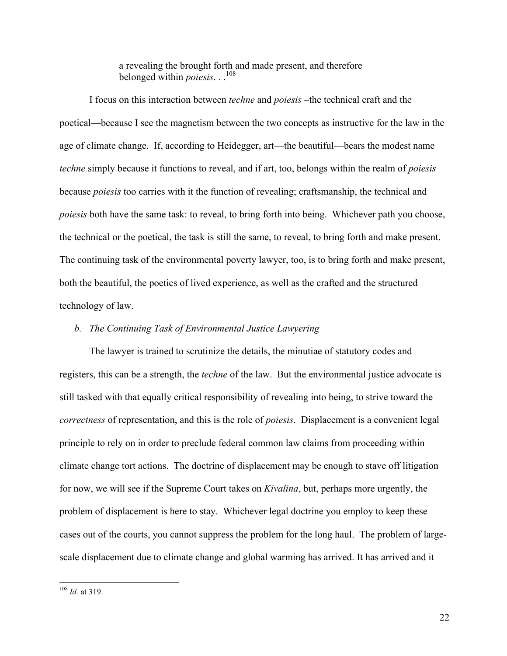a revealing the brought forth and made present, and therefore belonged within *poiesis*. . .108

I focus on this interaction between *techne* and *poiesis* –the technical craft and the poetical—because I see the magnetism between the two concepts as instructive for the law in the age of climate change. If, according to Heidegger, art—the beautiful—bears the modest name *techne* simply because it functions to reveal, and if art, too, belongs within the realm of *poiesis* because *poiesis* too carries with it the function of revealing; craftsmanship, the technical and *poiesis* both have the same task: to reveal, to bring forth into being. Whichever path you choose, the technical or the poetical, the task is still the same, to reveal, to bring forth and make present. The continuing task of the environmental poverty lawyer, too, is to bring forth and make present, both the beautiful, the poetics of lived experience, as well as the crafted and the structured technology of law.

## *b. The Continuing Task of Environmental Justice Lawyering*

The lawyer is trained to scrutinize the details, the minutiae of statutory codes and registers, this can be a strength, the *techne* of the law. But the environmental justice advocate is still tasked with that equally critical responsibility of revealing into being, to strive toward the *correctness* of representation, and this is the role of *poiesis*. Displacement is a convenient legal principle to rely on in order to preclude federal common law claims from proceeding within climate change tort actions. The doctrine of displacement may be enough to stave off litigation for now, we will see if the Supreme Court takes on *Kivalina*, but, perhaps more urgently, the problem of displacement is here to stay. Whichever legal doctrine you employ to keep these cases out of the courts, you cannot suppress the problem for the long haul. The problem of largescale displacement due to climate change and global warming has arrived. It has arrived and it

<sup>&</sup>lt;sup>108</sup> *Id.* at 319.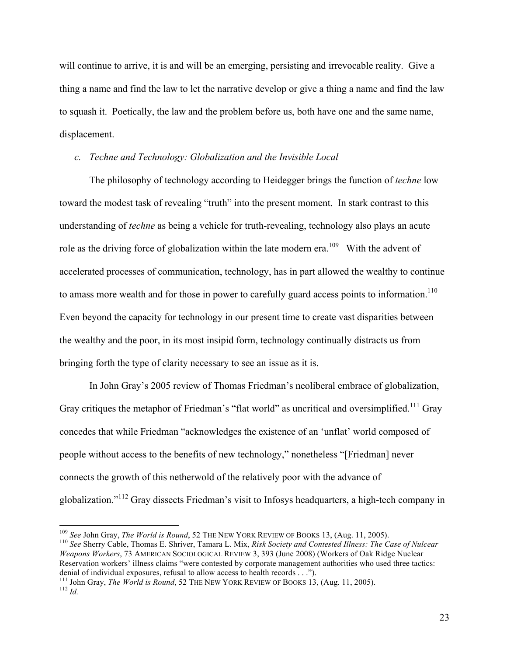will continue to arrive, it is and will be an emerging, persisting and irrevocable reality. Give a thing a name and find the law to let the narrative develop or give a thing a name and find the law to squash it. Poetically, the law and the problem before us, both have one and the same name, displacement.

## *c. Techne and Technology: Globalization and the Invisible Local*

The philosophy of technology according to Heidegger brings the function of *techne* low toward the modest task of revealing "truth" into the present moment. In stark contrast to this understanding of *techne* as being a vehicle for truth-revealing, technology also plays an acute role as the driving force of globalization within the late modern era.<sup>109</sup> With the advent of accelerated processes of communication, technology, has in part allowed the wealthy to continue to amass more wealth and for those in power to carefully guard access points to information.<sup>110</sup> Even beyond the capacity for technology in our present time to create vast disparities between the wealthy and the poor, in its most insipid form, technology continually distracts us from bringing forth the type of clarity necessary to see an issue as it is.

In John Gray's 2005 review of Thomas Friedman's neoliberal embrace of globalization, Gray critiques the metaphor of Friedman's "flat world" as uncritical and oversimplified.<sup>111</sup> Gray concedes that while Friedman "acknowledges the existence of an 'unflat' world composed of people without access to the benefits of new technology," nonetheless "[Friedman] never connects the growth of this netherwold of the relatively poor with the advance of globalization."<sup>112</sup> Gray dissects Friedman's visit to Infosys headquarters, a high-tech company in

*Weapons Workers*, 73 AMERICAN SOCIOLOGICAL REVIEW 3, 393 (June 2008) (Workers of Oak Ridge Nuclear Reservation workers' illness claims "were contested by corporate management authorities who used three tactics:<br>denial of individual exposures, refusal to allow access to health records . . .").

<sup>&</sup>lt;sup>109</sup> See John Gray, *The World is Round*, 52 THE NEW YORK REVIEW OF BOOKS 13, (Aug. 11, 2005).<br><sup>110</sup> See Sherry Cable, Thomas E. Shriver, Tamara L. Mix, *Risk Society and Contested Illness: The Case of Nulcear* 

<sup>&</sup>lt;sup>111</sup> John Gray, *The World is Round*, 52 THE NEW YORK REVIEW OF BOOKS 13, (Aug. 11, 2005). <sup>112</sup> *Id*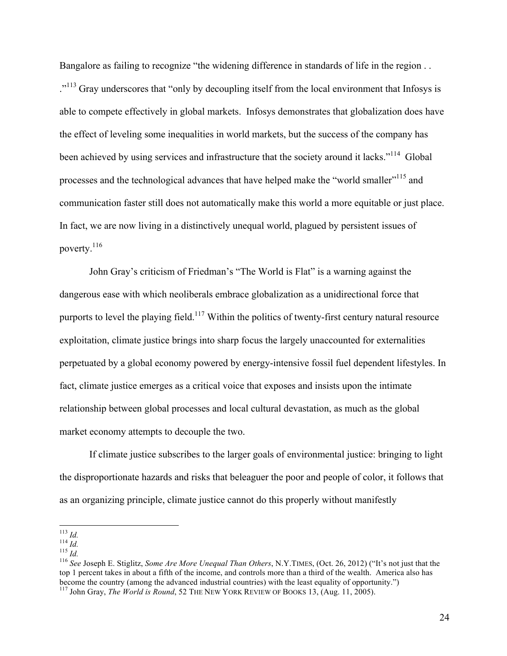Bangalore as failing to recognize "the widening difference in standards of life in the region . . .<sup>"113</sup> Gray underscores that "only by decoupling itself from the local environment that Infosys is able to compete effectively in global markets. Infosys demonstrates that globalization does have the effect of leveling some inequalities in world markets, but the success of the company has been achieved by using services and infrastructure that the society around it lacks."<sup>114</sup> Global processes and the technological advances that have helped make the "world smaller"<sup>115</sup> and communication faster still does not automatically make this world a more equitable or just place. In fact, we are now living in a distinctively unequal world, plagued by persistent issues of poverty.116

John Gray's criticism of Friedman's "The World is Flat" is a warning against the dangerous ease with which neoliberals embrace globalization as a unidirectional force that purports to level the playing field.<sup>117</sup> Within the politics of twenty-first century natural resource exploitation, climate justice brings into sharp focus the largely unaccounted for externalities perpetuated by a global economy powered by energy-intensive fossil fuel dependent lifestyles. In fact, climate justice emerges as a critical voice that exposes and insists upon the intimate relationship between global processes and local cultural devastation, as much as the global market economy attempts to decouple the two.

If climate justice subscribes to the larger goals of environmental justice: bringing to light the disproportionate hazards and risks that beleaguer the poor and people of color, it follows that as an organizing principle, climate justice cannot do this properly without manifestly

<sup>&</sup>lt;sup>113</sup> *Id.*<br><sup>114</sup> *Id.*<br><sup>115</sup> *Id.*<br><sup>116</sup> See Joseph E. Stiglitz, Some Are More Unequal Than Others, N.Y.TIMES, (Oct. 26, 2012) ("It's not just that the top 1 percent takes in about a fifth of the income, and controls more than a third of the wealth. America also has become the country (among the advanced industrial countries) with the least equality of opportunity.") <sup>117</sup> John Gray, *The World is Round*, 52 THE NEW YORK REVIEW OF BOOKS 13, (Aug. 11, 2005).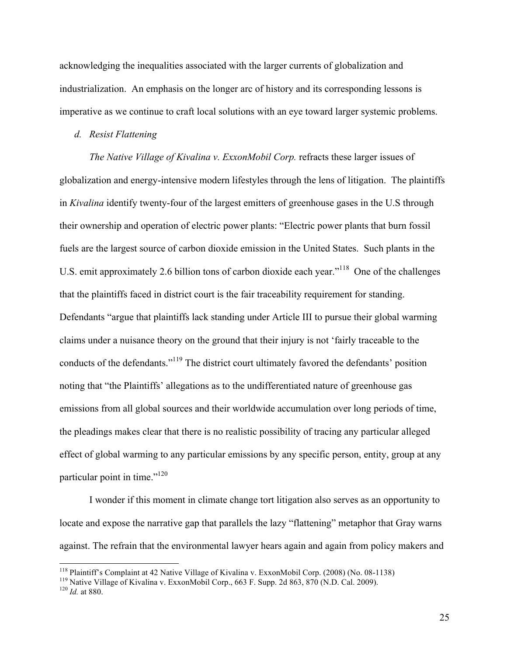acknowledging the inequalities associated with the larger currents of globalization and industrialization. An emphasis on the longer arc of history and its corresponding lessons is imperative as we continue to craft local solutions with an eye toward larger systemic problems.

### *d. Resist Flattening*

*The Native Village of Kivalina v. ExxonMobil Corp.* refracts these larger issues of globalization and energy-intensive modern lifestyles through the lens of litigation. The plaintiffs in *Kivalina* identify twenty-four of the largest emitters of greenhouse gases in the U.S through their ownership and operation of electric power plants: "Electric power plants that burn fossil fuels are the largest source of carbon dioxide emission in the United States. Such plants in the U.S. emit approximately 2.6 billion tons of carbon dioxide each year."<sup>118</sup> One of the challenges that the plaintiffs faced in district court is the fair traceability requirement for standing. Defendants "argue that plaintiffs lack standing under Article III to pursue their global warming claims under a nuisance theory on the ground that their injury is not 'fairly traceable to the conducts of the defendants."119 The district court ultimately favored the defendants' position noting that "the Plaintiffs' allegations as to the undifferentiated nature of greenhouse gas emissions from all global sources and their worldwide accumulation over long periods of time, the pleadings makes clear that there is no realistic possibility of tracing any particular alleged effect of global warming to any particular emissions by any specific person, entity, group at any particular point in time."120

I wonder if this moment in climate change tort litigation also serves as an opportunity to locate and expose the narrative gap that parallels the lazy "flattening" metaphor that Gray warns against. The refrain that the environmental lawyer hears again and again from policy makers and

<sup>&</sup>lt;sup>118</sup> Plaintiff's Complaint at 42 Native Village of Kivalina v. ExxonMobil Corp. (2008) (No. 08-1138)<br><sup>119</sup> Native Village of Kivalina v. ExxonMobil Corp., 663 F. Supp. 2d 863, 870 (N.D. Cal. 2009).<br><sup>120</sup> Id. at 880.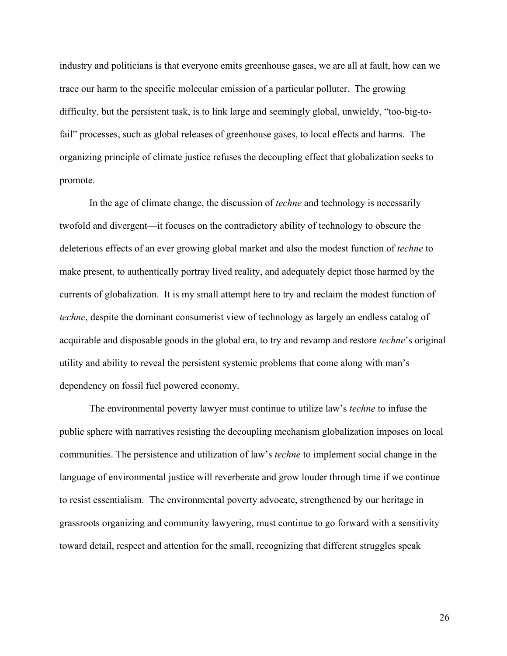industry and politicians is that everyone emits greenhouse gases, we are all at fault, how can we trace our harm to the specific molecular emission of a particular polluter. The growing difficulty, but the persistent task, is to link large and seemingly global, unwieldy, "too-big-tofail" processes, such as global releases of greenhouse gases, to local effects and harms. The organizing principle of climate justice refuses the decoupling effect that globalization seeks to promote.

In the age of climate change, the discussion of *techne* and technology is necessarily twofold and divergent—it focuses on the contradictory ability of technology to obscure the deleterious effects of an ever growing global market and also the modest function of *techne* to make present, to authentically portray lived reality, and adequately depict those harmed by the currents of globalization. It is my small attempt here to try and reclaim the modest function of *techne*, despite the dominant consumerist view of technology as largely an endless catalog of acquirable and disposable goods in the global era, to try and revamp and restore *techne*'s original utility and ability to reveal the persistent systemic problems that come along with man's dependency on fossil fuel powered economy.

The environmental poverty lawyer must continue to utilize law's *techne* to infuse the public sphere with narratives resisting the decoupling mechanism globalization imposes on local communities. The persistence and utilization of law's *techne* to implement social change in the language of environmental justice will reverberate and grow louder through time if we continue to resist essentialism. The environmental poverty advocate, strengthened by our heritage in grassroots organizing and community lawyering, must continue to go forward with a sensitivity toward detail, respect and attention for the small, recognizing that different struggles speak

26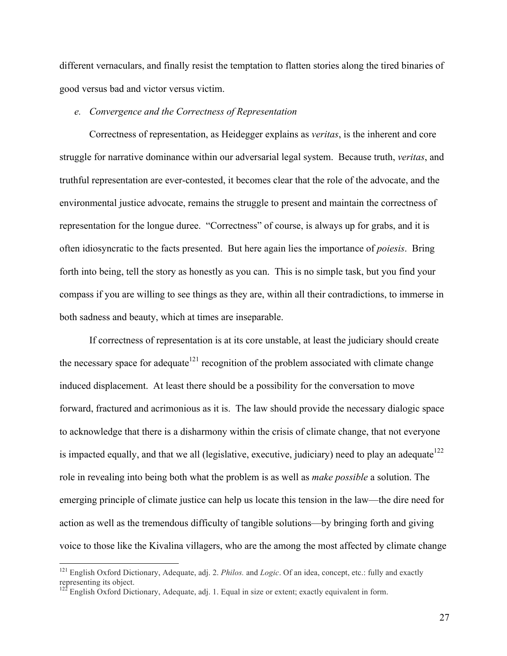different vernaculars, and finally resist the temptation to flatten stories along the tired binaries of good versus bad and victor versus victim.

### *e. Convergence and the Correctness of Representation*

Correctness of representation, as Heidegger explains as *veritas*, is the inherent and core struggle for narrative dominance within our adversarial legal system. Because truth, *veritas*, and truthful representation are ever-contested, it becomes clear that the role of the advocate, and the environmental justice advocate, remains the struggle to present and maintain the correctness of representation for the longue duree. "Correctness" of course, is always up for grabs, and it is often idiosyncratic to the facts presented. But here again lies the importance of *poiesis*. Bring forth into being, tell the story as honestly as you can. This is no simple task, but you find your compass if you are willing to see things as they are, within all their contradictions, to immerse in both sadness and beauty, which at times are inseparable.

If correctness of representation is at its core unstable, at least the judiciary should create the necessary space for adequate<sup>121</sup> recognition of the problem associated with climate change induced displacement. At least there should be a possibility for the conversation to move forward, fractured and acrimonious as it is. The law should provide the necessary dialogic space to acknowledge that there is a disharmony within the crisis of climate change, that not everyone is impacted equally, and that we all (legislative, executive, judiciary) need to play an adequate  $122$ role in revealing into being both what the problem is as well as *make possible* a solution. The emerging principle of climate justice can help us locate this tension in the law—the dire need for action as well as the tremendous difficulty of tangible solutions—by bringing forth and giving voice to those like the Kivalina villagers, who are the among the most affected by climate change

<sup>&</sup>lt;sup>121</sup> English Oxford Dictionary, Adequate, adj. 2. *Philos.* and *Logic*. Of an idea, concept, etc.: fully and exactly representing its object.

English Oxford Dictionary, Adequate, adj. 1. Equal in size or extent; exactly equivalent in form.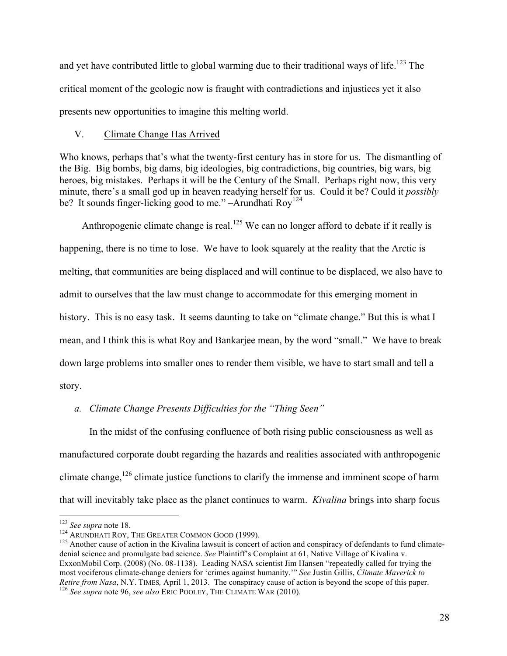and yet have contributed little to global warming due to their traditional ways of life.<sup>123</sup> The critical moment of the geologic now is fraught with contradictions and injustices yet it also presents new opportunities to imagine this melting world.

# V. Climate Change Has Arrived

Who knows, perhaps that's what the twenty-first century has in store for us. The dismantling of the Big. Big bombs, big dams, big ideologies, big contradictions, big countries, big wars, big heroes, big mistakes. Perhaps it will be the Century of the Small. Perhaps right now, this very minute, there's a small god up in heaven readying herself for us. Could it be? Could it *possibly* be? It sounds finger-licking good to me." –Arundhati  $\text{Rov}^{124}$ 

Anthropogenic climate change is real.<sup>125</sup> We can no longer afford to debate if it really is happening, there is no time to lose. We have to look squarely at the reality that the Arctic is melting, that communities are being displaced and will continue to be displaced, we also have to admit to ourselves that the law must change to accommodate for this emerging moment in history. This is no easy task. It seems daunting to take on "climate change." But this is what I mean, and I think this is what Roy and Bankarjee mean, by the word "small." We have to break down large problems into smaller ones to render them visible, we have to start small and tell a story.

# *a. Climate Change Presents Difficulties for the "Thing Seen"*

In the midst of the confusing confluence of both rising public consciousness as well as manufactured corporate doubt regarding the hazards and realities associated with anthropogenic climate change,<sup>126</sup> climate justice functions to clarify the immense and imminent scope of harm that will inevitably take place as the planet continues to warm. *Kivalina* brings into sharp focus

<sup>&</sup>lt;sup>123</sup> See supra note 18.<br><sup>124</sup> ARUNDHATI ROY, THE GREATER COMMON GOOD (1999).<br><sup>125</sup> Another cause of action in the Kivalina lawsuit is concert of action and conspiracy of defendants to fund climatedenial science and promulgate bad science. *See* Plaintiff's Complaint at 61, Native Village of Kivalina v. ExxonMobil Corp. (2008) (No. 08-1138). Leading NASA scientist Jim Hansen "repeatedly called for trying the most vociferous climate-change deniers for 'crimes against humanity.'" *See* Justin Gillis, *Climate Maverick to Retire from Nasa*, N.Y. TIMES*,* April 1, 2013. The conspiracy cause of action is beyond the scope of this paper. 126 *See supra* note 96, *see also* ERIC POOLEY, THE CLIMATE WAR (2010).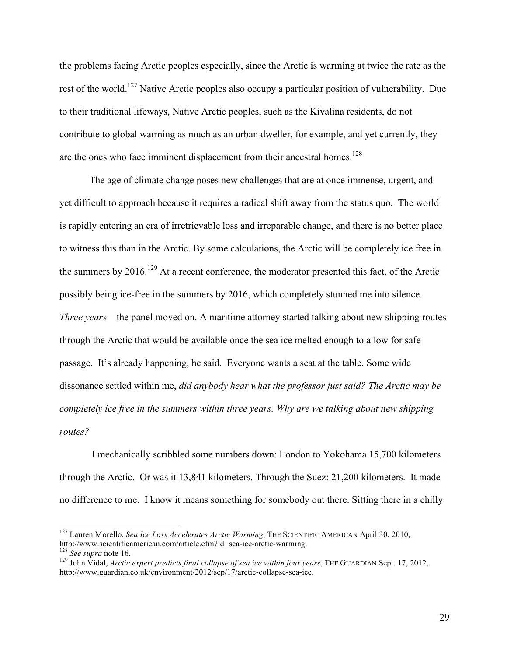the problems facing Arctic peoples especially, since the Arctic is warming at twice the rate as the rest of the world.<sup>127</sup> Native Arctic peoples also occupy a particular position of vulnerability. Due to their traditional lifeways, Native Arctic peoples, such as the Kivalina residents, do not contribute to global warming as much as an urban dweller, for example, and yet currently, they are the ones who face imminent displacement from their ancestral homes.<sup>128</sup>

The age of climate change poses new challenges that are at once immense, urgent, and yet difficult to approach because it requires a radical shift away from the status quo. The world is rapidly entering an era of irretrievable loss and irreparable change, and there is no better place to witness this than in the Arctic. By some calculations, the Arctic will be completely ice free in the summers by  $2016$ .<sup>129</sup> At a recent conference, the moderator presented this fact, of the Arctic possibly being ice-free in the summers by 2016, which completely stunned me into silence. *Three years*—the panel moved on. A maritime attorney started talking about new shipping routes through the Arctic that would be available once the sea ice melted enough to allow for safe passage. It's already happening, he said. Everyone wants a seat at the table. Some wide dissonance settled within me, *did anybody hear what the professor just said? The Arctic may be completely ice free in the summers within three years. Why are we talking about new shipping routes?*

I mechanically scribbled some numbers down: London to Yokohama 15,700 kilometers through the Arctic. Or was it 13,841 kilometers. Through the Suez: 21,200 kilometers. It made no difference to me. I know it means something for somebody out there. Sitting there in a chilly

<sup>&</sup>lt;sup>127</sup> Lauren Morello, *Sea Ice Loss Accelerates Arctic Warming*, THE SCIENTIFIC AMERICAN April 30, 2010, http://www.scientificamerican.com/article.cfm?id=sea-ice-arctic-warming.

 $128$  See supra note 16.<br><sup>129</sup> John Vidal, *Arctic expert predicts final collapse of sea ice within four years*, THE GUARDIAN Sept. 17, 2012, http://www.guardian.co.uk/environment/2012/sep/17/arctic-collapse-sea-ice.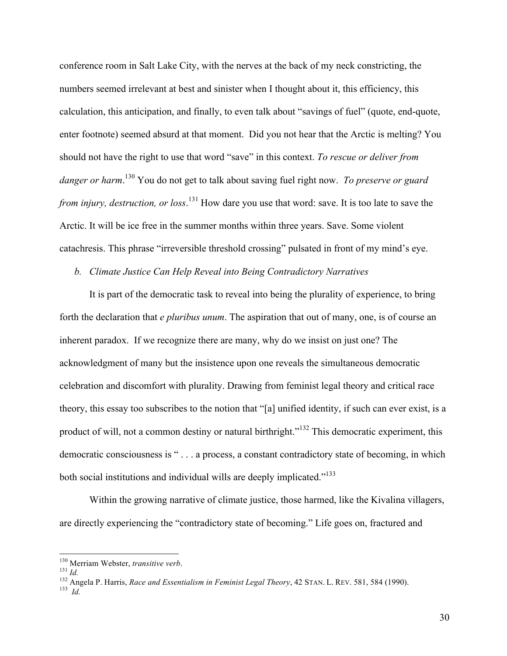conference room in Salt Lake City, with the nerves at the back of my neck constricting, the numbers seemed irrelevant at best and sinister when I thought about it, this efficiency, this calculation, this anticipation, and finally, to even talk about "savings of fuel" (quote, end-quote, enter footnote) seemed absurd at that moment. Did you not hear that the Arctic is melting? You should not have the right to use that word "save" in this context. *To rescue or deliver from danger or harm*. <sup>130</sup> You do not get to talk about saving fuel right now. *To preserve or guard from injury, destruction, or loss*. <sup>131</sup> How dare you use that word: save. It is too late to save the Arctic. It will be ice free in the summer months within three years. Save. Some violent catachresis. This phrase "irreversible threshold crossing" pulsated in front of my mind's eye.

#### *b. Climate Justice Can Help Reveal into Being Contradictory Narratives*

It is part of the democratic task to reveal into being the plurality of experience, to bring forth the declaration that *e pluribus unum*. The aspiration that out of many, one, is of course an inherent paradox. If we recognize there are many, why do we insist on just one? The acknowledgment of many but the insistence upon one reveals the simultaneous democratic celebration and discomfort with plurality. Drawing from feminist legal theory and critical race theory, this essay too subscribes to the notion that "[a] unified identity, if such can ever exist, is a product of will, not a common destiny or natural birthright."<sup>132</sup> This democratic experiment, this democratic consciousness is " . . . a process, a constant contradictory state of becoming, in which both social institutions and individual wills are deeply implicated."<sup>133</sup>

Within the growing narrative of climate justice, those harmed, like the Kivalina villagers, are directly experiencing the "contradictory state of becoming." Life goes on, fractured and

<sup>&</sup>lt;sup>130</sup> Merriam Webster, *transitive verb*.<br><sup>131</sup> *Id.*<br><sup>132</sup> Angela P. Harris, *Race and Essentialism in Feminist Legal Theory*, 42 STAN. L. REV. 581, 584 (1990).<br><sup>133</sup> *Id*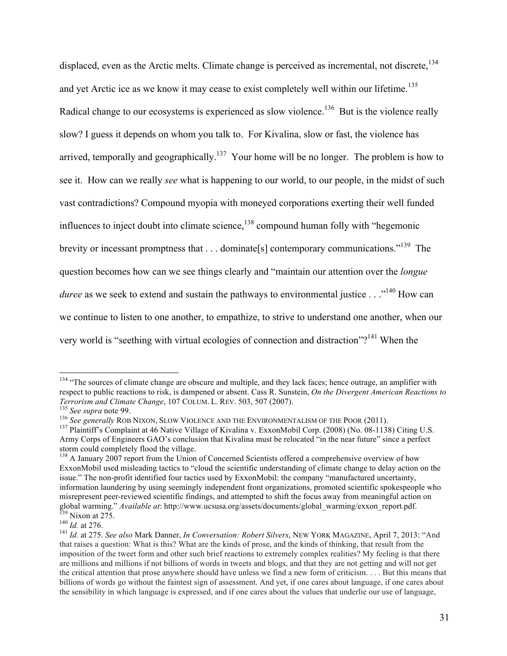displaced, even as the Arctic melts. Climate change is perceived as incremental, not discrete, <sup>134</sup> and yet Arctic ice as we know it may cease to exist completely well within our lifetime.<sup>135</sup> Radical change to our ecosystems is experienced as slow violence.<sup>136</sup> But is the violence really slow? I guess it depends on whom you talk to. For Kivalina, slow or fast, the violence has arrived, temporally and geographically.<sup>137</sup> Your home will be no longer. The problem is how to see it. How can we really *see* what is happening to our world, to our people, in the midst of such vast contradictions? Compound myopia with moneyed corporations exerting their well funded influences to inject doubt into climate science, $^{138}$  compound human folly with "hegemonic brevity or incessant promptness that . . . dominate[s] contemporary communications."139 The question becomes how can we see things clearly and "maintain our attention over the *longue duree* as we seek to extend and sustain the pathways to environmental justice . . .<sup>140</sup> How can we continue to listen to one another, to empathize, to strive to understand one another, when our very world is "seething with virtual ecologies of connection and distraction"?<sup>141</sup> When the

 $134$  "The sources of climate change are obscure and multiple, and they lack faces; hence outrage, an amplifier with respect to public reactions to risk, is dampened or absent. Cass R. Sunstein, *On the Divergent American Reactions to Terrorism and Climate Change*, 107 COLUM. L. REV. 503, 507 (2007).<br><sup>135</sup> *See supra* note 99.<br><sup>136</sup> *See generally* ROB NIXON, SLOW VIOLENCE AND THE ENVIRONMENTALISM OF THE POOR (2011).<br><sup>136</sup> Plaintiff's Complaint at 46 N

Army Corps of Engineers GAO's conclusion that Kivalina must be relocated "in the near future" since a perfect storm could completely flood the village.

<sup>&</sup>lt;sup>138</sup> A January 2007 report from the Union of Concerned Scientists offered a comprehensive overview of how ExxonMobil used misleading tactics to "cloud the scientific understanding of climate change to delay action on the issue." The non-profit identified four tactics used by ExxonMobil: the company "manufactured uncertainty, information laundering by using seemingly independent front organizations, promoted scientific spokespeople who misrepresent peer-reviewed scientific findings, and attempted to shift the focus away from meaningful action on global warming." Available at: http://www.ucsusa.org/assets/documents/global\_warming/exxon\_report.pdf.<br>
<sup>139</sup> Nixon at 275.<br>
<sup>140</sup> Id. at 276.<br>
<sup>141</sup> Id. at 275. See also Mark Danner, *In Conversation: Robert Silvers*, NEW

that raises a question: What is this? What are the kinds of prose, and the kinds of thinking, that result from the imposition of the tweet form and other such brief reactions to extremely complex realities? My feeling is that there are millions and millions if not billions of words in tweets and blogs, and that they are not getting and will not get the critical attention that prose anywhere should have unless we find a new form of criticism. . . . But this means that billions of words go without the faintest sign of assessment. And yet, if one cares about language, if one cares about the sensibility in which language is expressed, and if one cares about the values that underlie our use of language,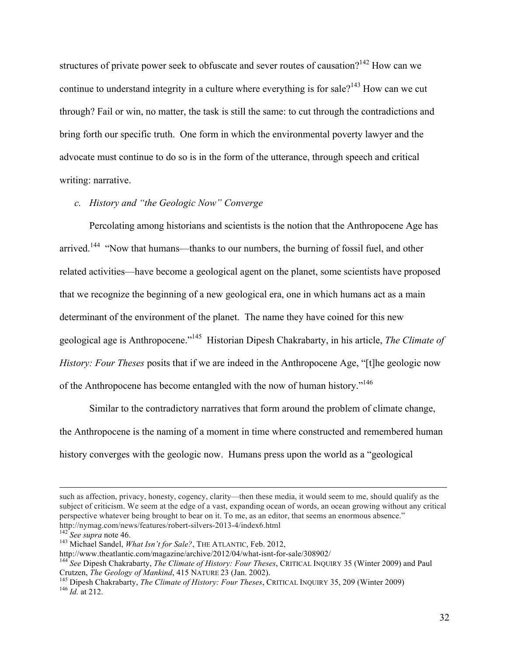structures of private power seek to obfuscate and sever routes of causation?<sup>142</sup> How can we continue to understand integrity in a culture where everything is for sale?<sup>143</sup> How can we cut through? Fail or win, no matter, the task is still the same: to cut through the contradictions and bring forth our specific truth. One form in which the environmental poverty lawyer and the advocate must continue to do so is in the form of the utterance, through speech and critical writing: narrative.

# *c. History and "the Geologic Now" Converge*

Percolating among historians and scientists is the notion that the Anthropocene Age has arrived.<sup>144</sup> "Now that humans—thanks to our numbers, the burning of fossil fuel, and other related activities—have become a geological agent on the planet, some scientists have proposed that we recognize the beginning of a new geological era, one in which humans act as a main determinant of the environment of the planet. The name they have coined for this new geological age is Anthropocene."145 Historian Dipesh Chakrabarty, in his article, *The Climate of History: Four Theses* posits that if we are indeed in the Anthropocene Age, "[t]he geologic now of the Anthropocene has become entangled with the now of human history."146

Similar to the contradictory narratives that form around the problem of climate change, the Anthropocene is the naming of a moment in time where constructed and remembered human history converges with the geologic now. Humans press upon the world as a "geological

!!!!!!!!!!!!!!!!!!!!!!!!!!!!!!!!!!!!!!!!!!!!!!!!!!!!!!!!!!!!!!!!!!!!!!!!!!!!!!!!!!!!!!!!!!!!!!!!!!!!!!!!!!!!!!!!!!!!!!!!!!!!!!!!!!!!!!!!!!!!!!!!!!!!!!!!!!!!!!!!!!!!!!!!!!!!!!!!!!

such as affection, privacy, honesty, cogency, clarity—then these media, it would seem to me, should qualify as the subject of criticism. We seem at the edge of a vast, expanding ocean of words, an ocean growing without any critical perspective whatever being brought to bear on it. To me, as an editor, that seems an enormous absence."

http://nymag.com/news/features/robert-silvers-2013-4/index6.html<br><sup>142</sup> *See supra* note 46.<br><sup>143</sup> Michael Sandel, *What Isn't for Sale?*, THE ATLANTIC, Feb. 2012,<br>http://www.theatlantic.com/magazine/archive/2012/04/what-is

<sup>&</sup>lt;sup>144</sup> See Dipesh Chakrabarty, *The Climate of History: Four Theses*, CRITICAL INQUIRY 35 (Winter 2009) and Paul Crutzen, *The Geology of Mankind*, 415 NATURE 23 (Jan. 2002).

<sup>&</sup>lt;sup>145</sup> Dipesh Chakrabarty, *The Climate of History: Four Theses*, CRITICAL INQUIRY 35, 209 (Winter 2009)<sup>146</sup> *Id.* at 212.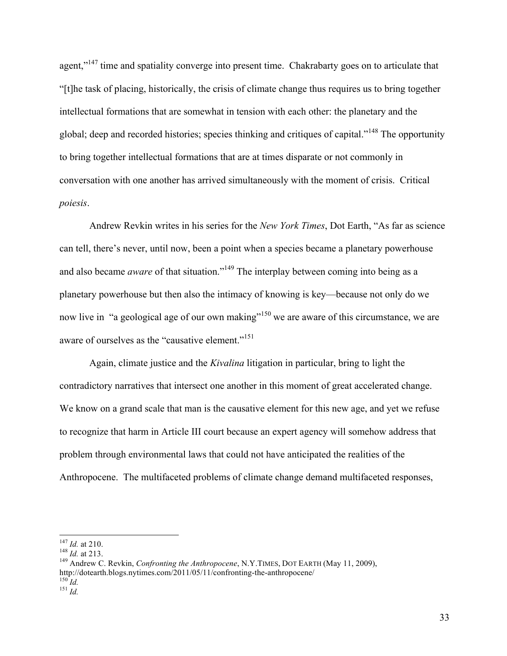agent,"<sup>147</sup> time and spatiality converge into present time. Chakrabarty goes on to articulate that "[t]he task of placing, historically, the crisis of climate change thus requires us to bring together intellectual formations that are somewhat in tension with each other: the planetary and the global; deep and recorded histories; species thinking and critiques of capital."<sup>148</sup> The opportunity to bring together intellectual formations that are at times disparate or not commonly in conversation with one another has arrived simultaneously with the moment of crisis. Critical *poiesis*.

Andrew Revkin writes in his series for the *New York Times*, Dot Earth, "As far as science can tell, there's never, until now, been a point when a species became a planetary powerhouse and also became *aware* of that situation."<sup>149</sup> The interplay between coming into being as a planetary powerhouse but then also the intimacy of knowing is key—because not only do we now live in "a geological age of our own making"<sup>150</sup> we are aware of this circumstance, we are aware of ourselves as the "causative element."<sup>151</sup>

Again, climate justice and the *Kivalina* litigation in particular, bring to light the contradictory narratives that intersect one another in this moment of great accelerated change. We know on a grand scale that man is the causative element for this new age, and yet we refuse to recognize that harm in Article III court because an expert agency will somehow address that problem through environmental laws that could not have anticipated the realities of the Anthropocene. The multifaceted problems of climate change demand multifaceted responses,

<sup>&</sup>lt;sup>147</sup> *Id.* at 210.<br><sup>148</sup> *Id.* at 213.<br><sup>149</sup> Andrew C. Revkin, *Confronting the Anthropocene*, N.Y.TIMES, DOT EARTH (May 11, 2009), http://dotearth.blogs.nytimes.com/2011/05/11/confronting-the-anthropocene/ <sup>150</sup> *Id.* <sup>151</sup> *Id.*

<sup>33</sup>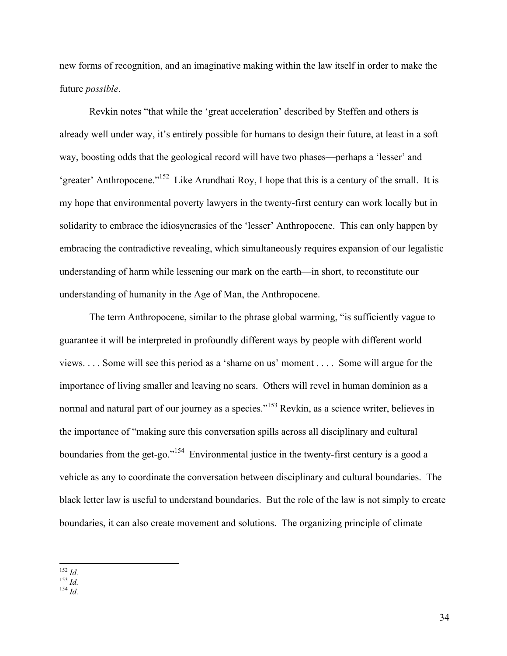new forms of recognition, and an imaginative making within the law itself in order to make the future *possible*.

Revkin notes "that while the 'great acceleration' described by Steffen and others is already well under way, it's entirely possible for humans to design their future, at least in a soft way, boosting odds that the geological record will have two phases—perhaps a 'lesser' and 'greater' Anthropocene."152 Like Arundhati Roy, I hope that this is a century of the small. It is my hope that environmental poverty lawyers in the twenty-first century can work locally but in solidarity to embrace the idiosyncrasies of the 'lesser' Anthropocene. This can only happen by embracing the contradictive revealing, which simultaneously requires expansion of our legalistic understanding of harm while lessening our mark on the earth—in short, to reconstitute our understanding of humanity in the Age of Man, the Anthropocene.

The term Anthropocene, similar to the phrase global warming, "is sufficiently vague to guarantee it will be interpreted in profoundly different ways by people with different world views. . . . Some will see this period as a 'shame on us' moment . . . . Some will argue for the importance of living smaller and leaving no scars. Others will revel in human dominion as a normal and natural part of our journey as a species."<sup>153</sup> Revkin, as a science writer, believes in the importance of "making sure this conversation spills across all disciplinary and cultural boundaries from the get-go."<sup>154</sup> Environmental justice in the twenty-first century is a good a vehicle as any to coordinate the conversation between disciplinary and cultural boundaries. The black letter law is useful to understand boundaries. But the role of the law is not simply to create boundaries, it can also create movement and solutions. The organizing principle of climate

!!!!!!!!!!!!!!!!!!!!!!!!!!!!!!!!!!!!!!!!!!!!!!!!!!!!!!! <sup>152</sup> *Id.* <sup>153</sup> *Id.* <sup>154</sup> *Id.*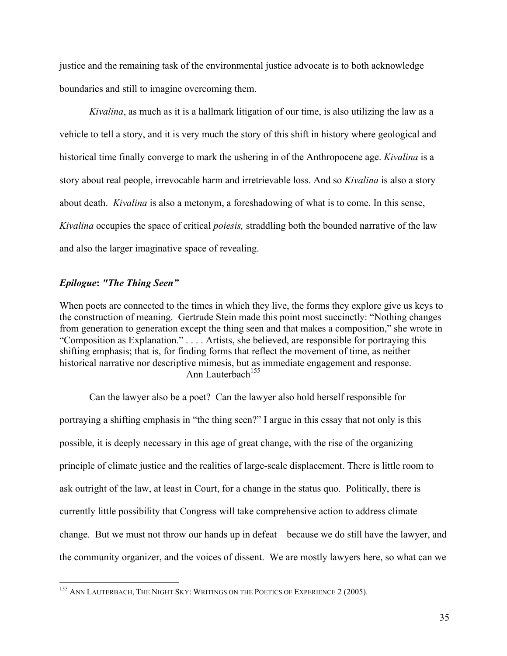justice and the remaining task of the environmental justice advocate is to both acknowledge boundaries and still to imagine overcoming them.

*Kivalina*, as much as it is a hallmark litigation of our time, is also utilizing the law as a vehicle to tell a story, and it is very much the story of this shift in history where geological and historical time finally converge to mark the ushering in of the Anthropocene age. *Kivalina* is a story about real people, irrevocable harm and irretrievable loss. And so *Kivalina* is also a story about death. *Kivalina* is also a metonym, a foreshadowing of what is to come. In this sense, *Kivalina* occupies the space of critical *poiesis,* straddling both the bounded narrative of the law and also the larger imaginative space of revealing.

# *Epilogue***:** *"The Thing Seen"*

When poets are connected to the times in which they live, the forms they explore give us keys to the construction of meaning. Gertrude Stein made this point most succinctly: "Nothing changes from generation to generation except the thing seen and that makes a composition," she wrote in "Composition as Explanation." . . . . Artists, she believed, are responsible for portraying this shifting emphasis; that is, for finding forms that reflect the movement of time, as neither historical narrative nor descriptive mimesis, but as immediate engagement and response.  $-$ Ann Lauterbach<sup>155</sup>

Can the lawyer also be a poet? Can the lawyer also hold herself responsible for portraying a shifting emphasis in "the thing seen?" I argue in this essay that not only is this possible, it is deeply necessary in this age of great change, with the rise of the organizing principle of climate justice and the realities of large-scale displacement. There is little room to ask outright of the law, at least in Court, for a change in the status quo. Politically, there is currently little possibility that Congress will take comprehensive action to address climate change. But we must not throw our hands up in defeat—because we do still have the lawyer, and the community organizer, and the voices of dissent. We are mostly lawyers here, so what can we

<sup>&</sup>lt;sup>155</sup> ANN LAUTERBACH, THE NIGHT SKY: WRITINGS ON THE POETICS OF EXPERIENCE 2 (2005).